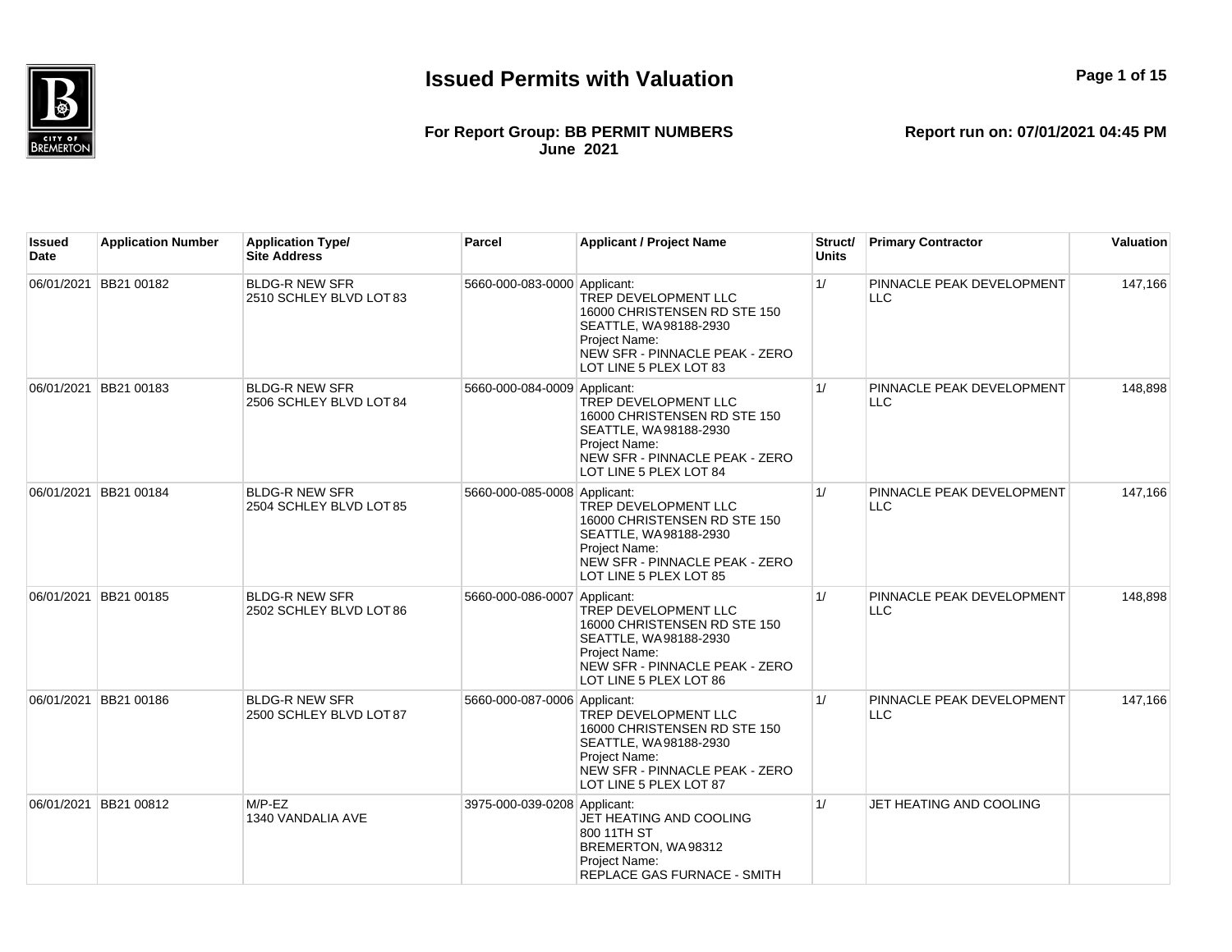

#### **For Report Group: BB PERMIT NUMBERS June 2021**

| lssued<br><b>Date</b> | <b>Application Number</b> | <b>Application Type/</b><br><b>Site Address</b>  | Parcel                       | <b>Applicant / Project Name</b>                                                                                                                            | Struct/<br><b>Units</b> | <b>Primary Contractor</b>               | Valuation |
|-----------------------|---------------------------|--------------------------------------------------|------------------------------|------------------------------------------------------------------------------------------------------------------------------------------------------------|-------------------------|-----------------------------------------|-----------|
| 06/01/2021            | BB21 00182                | <b>BLDG-R NEW SFR</b><br>2510 SCHLEY BLVD LOT 83 | 5660-000-083-0000 Applicant: | TREP DEVELOPMENT LLC<br>16000 CHRISTENSEN RD STE 150<br>SEATTLE, WA98188-2930<br>Project Name:<br>NEW SFR - PINNACLE PEAK - ZERO<br>LOT LINE 5 PLEX LOT 83 | 1/                      | PINNACLE PEAK DEVELOPMENT<br>LLC        | 147,166   |
|                       | 06/01/2021 BB21 00183     | <b>BLDG-R NEW SFR</b><br>2506 SCHLEY BLVD LOT 84 | 5660-000-084-0009 Applicant: | TREP DEVELOPMENT LLC<br>16000 CHRISTENSEN RD STE 150<br>SEATTLE, WA98188-2930<br>Project Name:<br>NEW SFR - PINNACLE PEAK - ZERO<br>LOT LINE 5 PLEX LOT 84 | 1/                      | PINNACLE PEAK DEVELOPMENT<br><b>LLC</b> | 148,898   |
|                       | 06/01/2021 BB21 00184     | <b>BLDG-R NEW SFR</b><br>2504 SCHLEY BLVD LOT 85 | 5660-000-085-0008 Applicant: | TREP DEVELOPMENT LLC<br>16000 CHRISTENSEN RD STE 150<br>SEATTLE, WA98188-2930<br>Project Name:<br>NEW SFR - PINNACLE PEAK - ZERO<br>LOT LINE 5 PLEX LOT 85 | 1/                      | PINNACLE PEAK DEVELOPMENT<br><b>LLC</b> | 147,166   |
|                       | 06/01/2021 BB21 00185     | <b>BLDG-R NEW SFR</b><br>2502 SCHLEY BLVD LOT 86 | 5660-000-086-0007 Applicant: | TREP DEVELOPMENT LLC<br>16000 CHRISTENSEN RD STE 150<br>SEATTLE, WA98188-2930<br>Project Name:<br>NEW SFR - PINNACLE PEAK - ZERO<br>LOT LINE 5 PLEX LOT 86 | 1/                      | PINNACLE PEAK DEVELOPMENT<br><b>LLC</b> | 148,898   |
| 06/01/2021            | BB21 00186                | <b>BLDG-R NEW SFR</b><br>2500 SCHLEY BLVD LOT 87 | 5660-000-087-0006 Applicant: | TREP DEVELOPMENT LLC<br>16000 CHRISTENSEN RD STE 150<br>SEATTLE, WA98188-2930<br>Project Name:<br>NEW SFR - PINNACLE PEAK - ZERO<br>LOT LINE 5 PLEX LOT 87 | 1/                      | PINNACLE PEAK DEVELOPMENT<br><b>LLC</b> | 147,166   |
| 06/01/2021            | BB21 00812                | $M/P$ -EZ<br>1340 VANDALIA AVE                   | 3975-000-039-0208 Applicant: | JET HEATING AND COOLING<br>800 11TH ST<br>BREMERTON, WA98312<br>Project Name:<br>REPLACE GAS FURNACE - SMITH                                               | 1/                      | JET HEATING AND COOLING                 |           |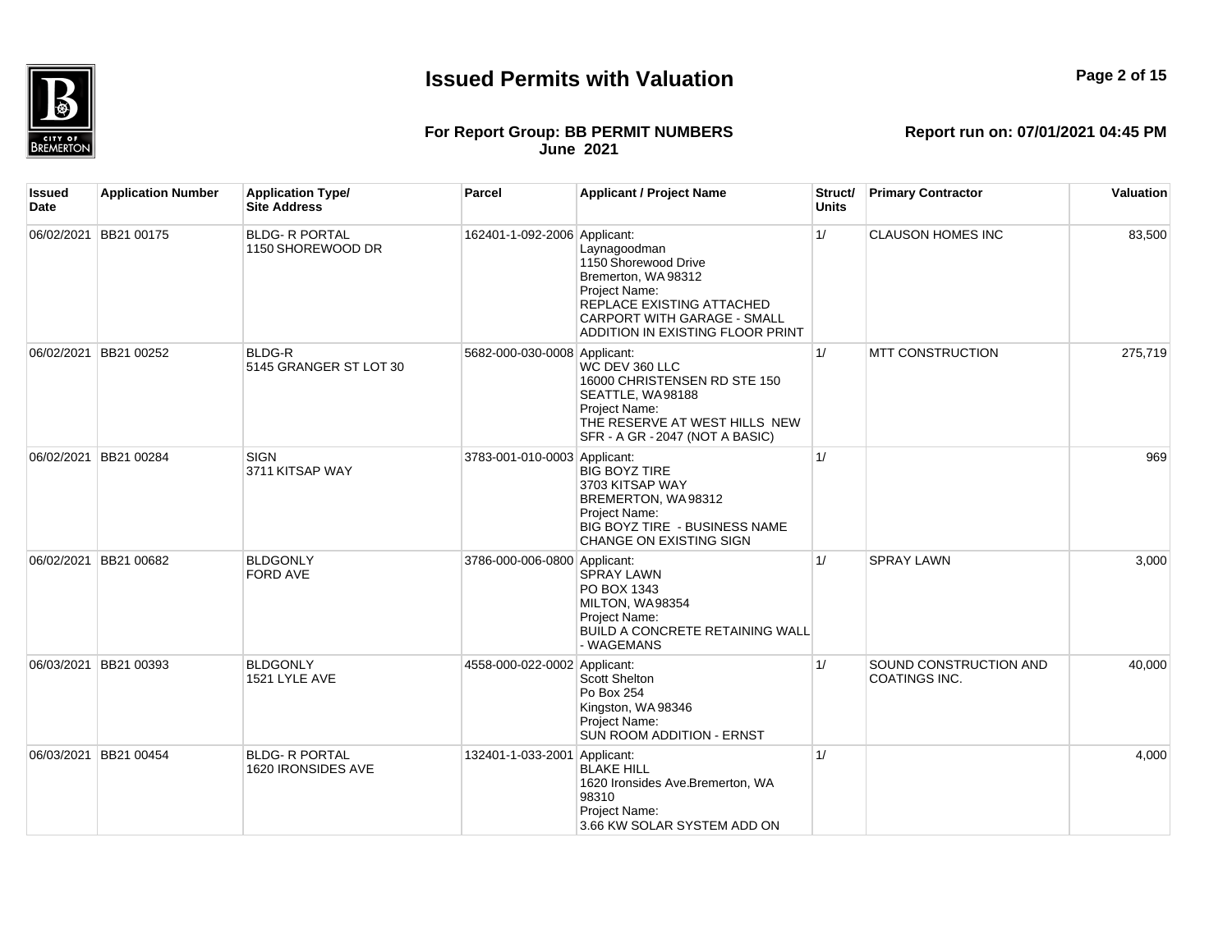

## **Page 2 of 15**

#### **For Report Group: BB PERMIT NUMBERS June 2021**

| Issued<br><b>Date</b> | <b>Application Number</b> | <b>Application Type/</b><br><b>Site Address</b> | <b>Parcel</b>                | <b>Applicant / Project Name</b>                                                                                                                                              | Struct/<br><b>Units</b> | <b>Primary Contractor</b>               | Valuation |
|-----------------------|---------------------------|-------------------------------------------------|------------------------------|------------------------------------------------------------------------------------------------------------------------------------------------------------------------------|-------------------------|-----------------------------------------|-----------|
|                       | 06/02/2021 BB21 00175     | <b>BLDG- R PORTAL</b><br>1150 SHOREWOOD DR      | 162401-1-092-2006 Applicant: | Laynagoodman<br>1150 Shorewood Drive<br>Bremerton, WA 98312<br>Project Name:<br>REPLACE EXISTING ATTACHED<br>CARPORT WITH GARAGE - SMALL<br>ADDITION IN EXISTING FLOOR PRINT | 1/                      | <b>CLAUSON HOMES INC</b>                | 83,500    |
|                       | 06/02/2021 BB21 00252     | <b>BLDG-R</b><br>5145 GRANGER ST LOT 30         | 5682-000-030-0008 Applicant: | WC DEV 360 LLC<br>16000 CHRISTENSEN RD STE 150<br>SEATTLE, WA98188<br>Project Name:<br>THE RESERVE AT WEST HILLS NEW<br>SFR - A GR - 2047 (NOT A BASIC)                      | 1/                      | <b>MTT CONSTRUCTION</b>                 | 275,719   |
|                       | 06/02/2021 BB21 00284     | <b>SIGN</b><br>3711 KITSAP WAY                  | 3783-001-010-0003 Applicant: | <b>BIG BOYZ TIRE</b><br>3703 KITSAP WAY<br>BREMERTON, WA98312<br>Project Name:<br>BIG BOYZ TIRE - BUSINESS NAME<br>CHANGE ON EXISTING SIGN                                   | 1/                      |                                         | 969       |
|                       | 06/02/2021 BB21 00682     | <b>BLDGONLY</b><br><b>FORD AVE</b>              | 3786-000-006-0800 Applicant: | <b>SPRAY LAWN</b><br>PO BOX 1343<br>MILTON, WA98354<br>Project Name:<br>BUILD A CONCRETE RETAINING WALL<br>- WAGEMANS                                                        | 1/                      | <b>SPRAY LAWN</b>                       | 3.000     |
|                       | 06/03/2021 BB21 00393     | <b>BLDGONLY</b><br>1521 LYLE AVE                | 4558-000-022-0002 Applicant: | Scott Shelton<br>Po Box 254<br>Kingston, WA 98346<br>Project Name:<br>SUN ROOM ADDITION - ERNST                                                                              | 1/                      | SOUND CONSTRUCTION AND<br>COATINGS INC. | 40,000    |
|                       | 06/03/2021 BB21 00454     | <b>BLDG- R PORTAL</b><br>1620 IRONSIDES AVE     | 132401-1-033-2001 Applicant: | <b>BLAKE HILL</b><br>1620 Ironsides Ave.Bremerton, WA<br>98310<br>Project Name:<br>3.66 KW SOLAR SYSTEM ADD ON                                                               | 1/                      |                                         | 4,000     |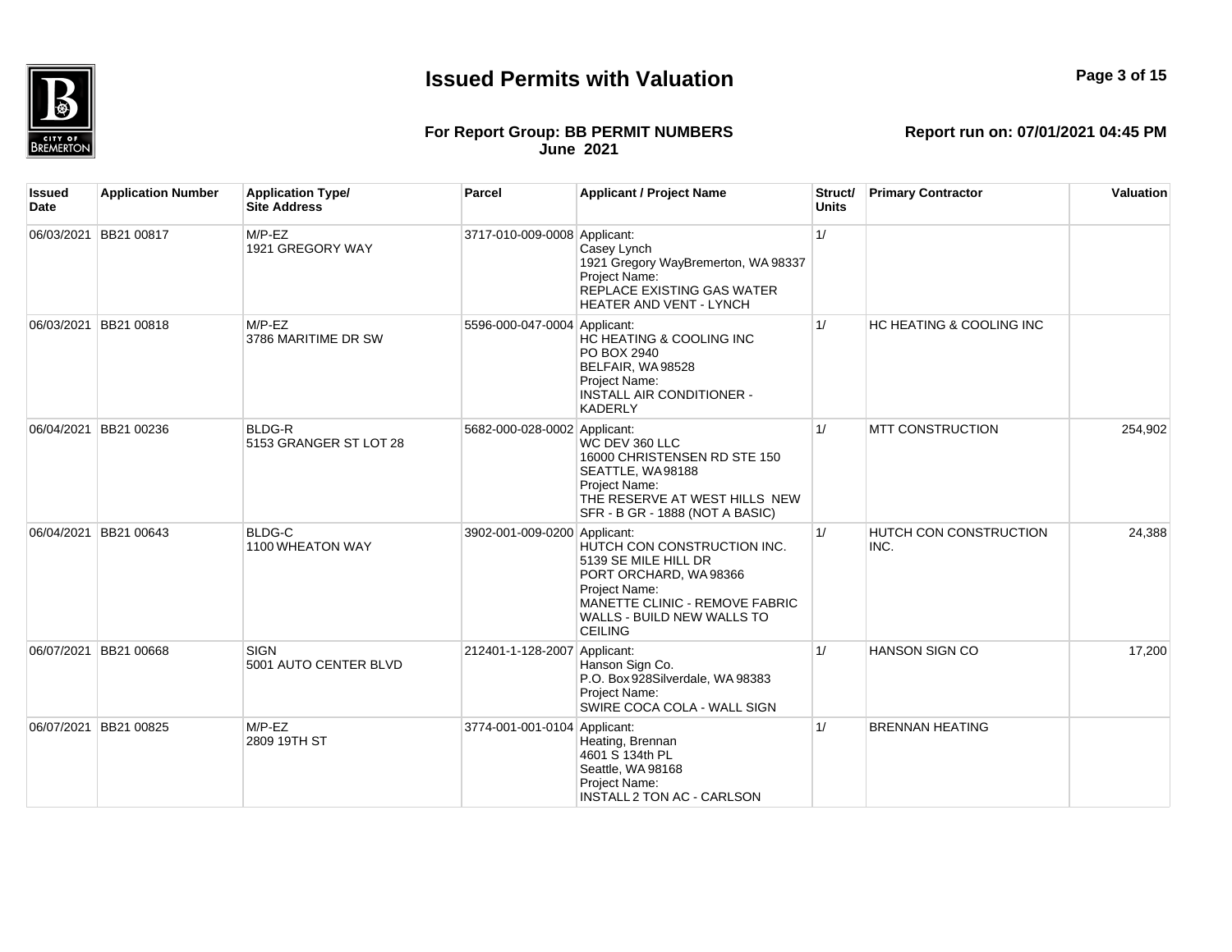

## **Page 3 of 15**

#### **For Report Group: BB PERMIT NUMBERS June 2021**

| lssued<br><b>Date</b> | <b>Application Number</b> | <b>Application Type/</b><br><b>Site Address</b> | Parcel                       | <b>Applicant / Project Name</b>                                                                                                                                                 | Struct/<br><b>Units</b> | <b>Primary Contractor</b>             | Valuation |
|-----------------------|---------------------------|-------------------------------------------------|------------------------------|---------------------------------------------------------------------------------------------------------------------------------------------------------------------------------|-------------------------|---------------------------------------|-----------|
|                       | 06/03/2021 BB21 00817     | $M/P$ -EZ<br>1921 GREGORY WAY                   | 3717-010-009-0008 Applicant: | Casey Lynch<br>1921 Gregory WayBremerton, WA 98337<br>Project Name:<br>REPLACE EXISTING GAS WATER<br>HEATER AND VENT - LYNCH                                                    | 1/                      |                                       |           |
| 06/03/2021            | BB21 00818                | $M/P$ -EZ<br>3786 MARITIME DR SW                | 5596-000-047-0004 Applicant: | HC HEATING & COOLING INC<br>PO BOX 2940<br>BELFAIR, WA98528<br>Project Name:<br><b>INSTALL AIR CONDITIONER -</b><br><b>KADERLY</b>                                              | 1/                      | <b>HC HEATING &amp; COOLING INC</b>   |           |
| 06/04/2021            | BB21 00236                | <b>BLDG-R</b><br>5153 GRANGER ST LOT 28         | 5682-000-028-0002 Applicant: | WC DEV 360 LLC<br>16000 CHRISTENSEN RD STE 150<br>SEATTLE, WA98188<br>Project Name:<br>THE RESERVE AT WEST HILLS NEW<br>SFR - B GR - 1888 (NOT A BASIC)                         | 1/                      | <b>MTT CONSTRUCTION</b>               | 254,902   |
| 06/04/2021            | BB21 00643                | <b>BLDG-C</b><br>1100 WHEATON WAY               | 3902-001-009-0200 Applicant: | HUTCH CON CONSTRUCTION INC.<br>5139 SE MILE HILL DR<br>PORT ORCHARD, WA98366<br>Project Name:<br>MANETTE CLINIC - REMOVE FABRIC<br>WALLS - BUILD NEW WALLS TO<br><b>CEILING</b> | 1/                      | <b>HUTCH CON CONSTRUCTION</b><br>INC. | 24,388    |
| 06/07/2021            | BB21 00668                | <b>SIGN</b><br>5001 AUTO CENTER BLVD            | 212401-1-128-2007 Applicant: | Hanson Sign Co.<br>P.O. Box 928Silverdale, WA 98383<br>Project Name:<br>SWIRE COCA COLA - WALL SIGN                                                                             | 1/                      | <b>HANSON SIGN CO</b>                 | 17,200    |
| 06/07/2021            | BB21 00825                | $M/P$ -EZ<br>2809 19TH ST                       | 3774-001-001-0104 Applicant: | Heating, Brennan<br>4601 S 134th PL<br>Seattle, WA 98168<br>Project Name:<br>INSTALL 2 TON AC - CARLSON                                                                         | 1/                      | <b>BRENNAN HEATING</b>                |           |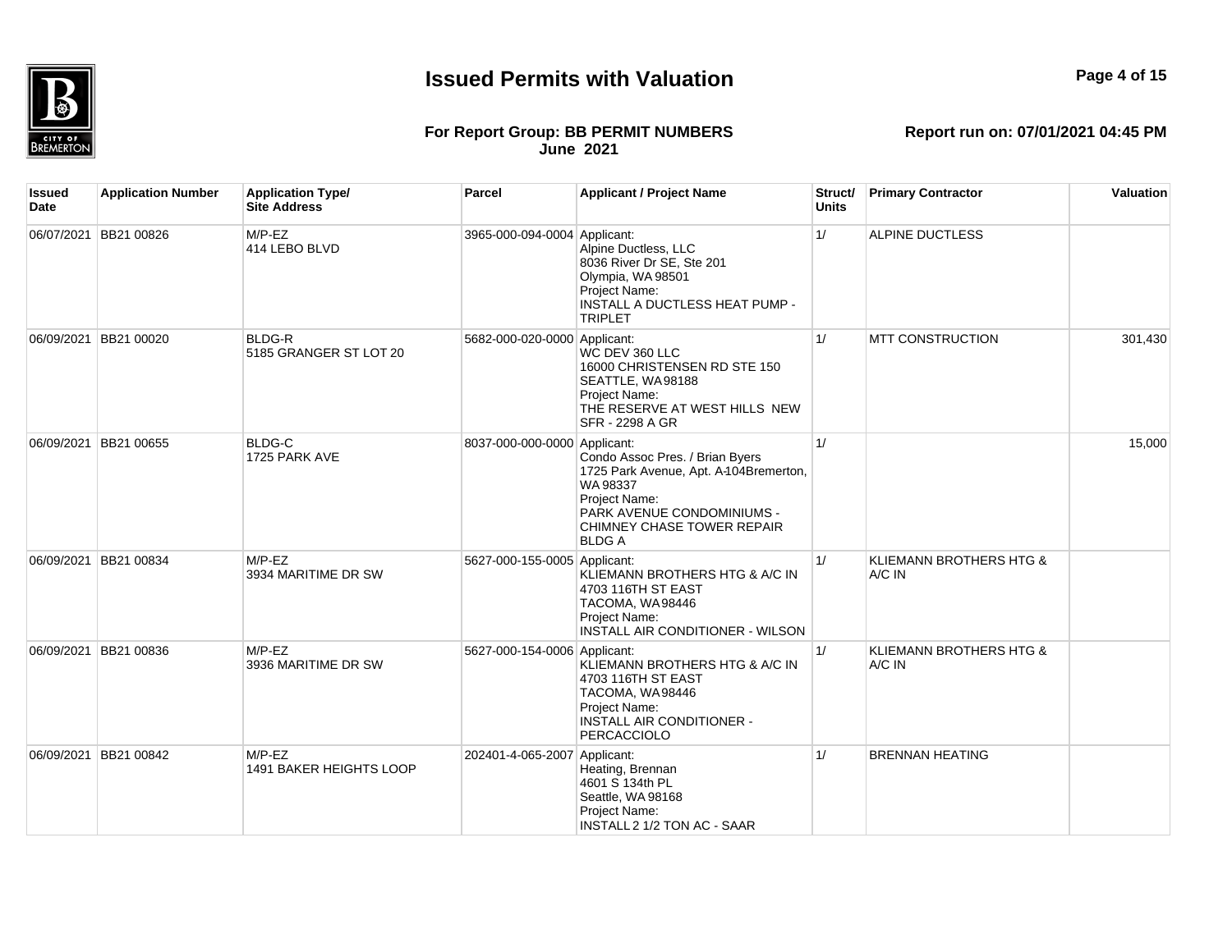

## **Page 4 of 15**

#### **For Report Group: BB PERMIT NUMBERS June 2021**

| Issued<br>Date | <b>Application Number</b> | <b>Application Type/</b><br><b>Site Address</b> | <b>Parcel</b>                | <b>Applicant / Project Name</b>                                                                                                                                                    | Struct/<br>Units | <b>Primary Contractor</b>         | Valuation |
|----------------|---------------------------|-------------------------------------------------|------------------------------|------------------------------------------------------------------------------------------------------------------------------------------------------------------------------------|------------------|-----------------------------------|-----------|
|                | 06/07/2021 BB21 00826     | $M/P$ -EZ<br>414 LEBO BLVD                      | 3965-000-094-0004 Applicant: | Alpine Ductless, LLC<br>8036 River Dr SE, Ste 201<br>Olympia, WA 98501<br>Project Name:<br>INSTALL A DUCTLESS HEAT PUMP -<br><b>TRIPLET</b>                                        | 1/               | <b>ALPINE DUCTLESS</b>            |           |
|                | 06/09/2021 BB21 00020     | <b>BLDG-R</b><br>5185 GRANGER ST LOT 20         | 5682-000-020-0000 Applicant: | WC DEV 360 LLC<br>16000 CHRISTENSEN RD STE 150<br>SEATTLE, WA98188<br>Project Name:<br>THE RESERVE AT WEST HILLS NEW<br><b>SFR - 2298 A GR</b>                                     | 1/               | <b>MTT CONSTRUCTION</b>           | 301,430   |
|                | 06/09/2021 BB21 00655     | <b>BLDG-C</b><br>1725 PARK AVE                  | 8037-000-000-0000 Applicant: | Condo Assoc Pres. / Brian Byers<br>1725 Park Avenue, Apt. A-104Bremerton,<br>WA 98337<br>Project Name:<br>PARK AVENUE CONDOMINIUMS -<br>CHIMNEY CHASE TOWER REPAIR<br><b>BLDGA</b> | 1/               |                                   | 15,000    |
|                | 06/09/2021 BB21 00834     | $M/P$ -EZ<br>3934 MARITIME DR SW                | 5627-000-155-0005 Applicant: | KLIEMANN BROTHERS HTG & A/C IN<br>4703 116TH ST EAST<br>TACOMA, WA98446<br>Project Name:<br>INSTALL AIR CONDITIONER - WILSON                                                       | 1/               | KLIEMANN BROTHERS HTG &<br>A/C IN |           |
|                | 06/09/2021 BB21 00836     | $M/P$ -EZ<br>3936 MARITIME DR SW                | 5627-000-154-0006 Applicant: | KLIEMANN BROTHERS HTG & A/C IN<br>4703 116TH ST EAST<br>TACOMA, WA98446<br>Project Name:<br><b>INSTALL AIR CONDITIONER -</b><br>PERCACCIOLO                                        | 1/               | KLIEMANN BROTHERS HTG &<br>A/C IN |           |
|                | 06/09/2021 BB21 00842     | $M/P$ -EZ<br>1491 BAKER HEIGHTS LOOP            | 202401-4-065-2007 Applicant: | Heating, Brennan<br>4601 S 134th PL<br>Seattle, WA 98168<br>Project Name:<br>INSTALL 2 1/2 TON AC - SAAR                                                                           | 1/               | <b>BRENNAN HEATING</b>            |           |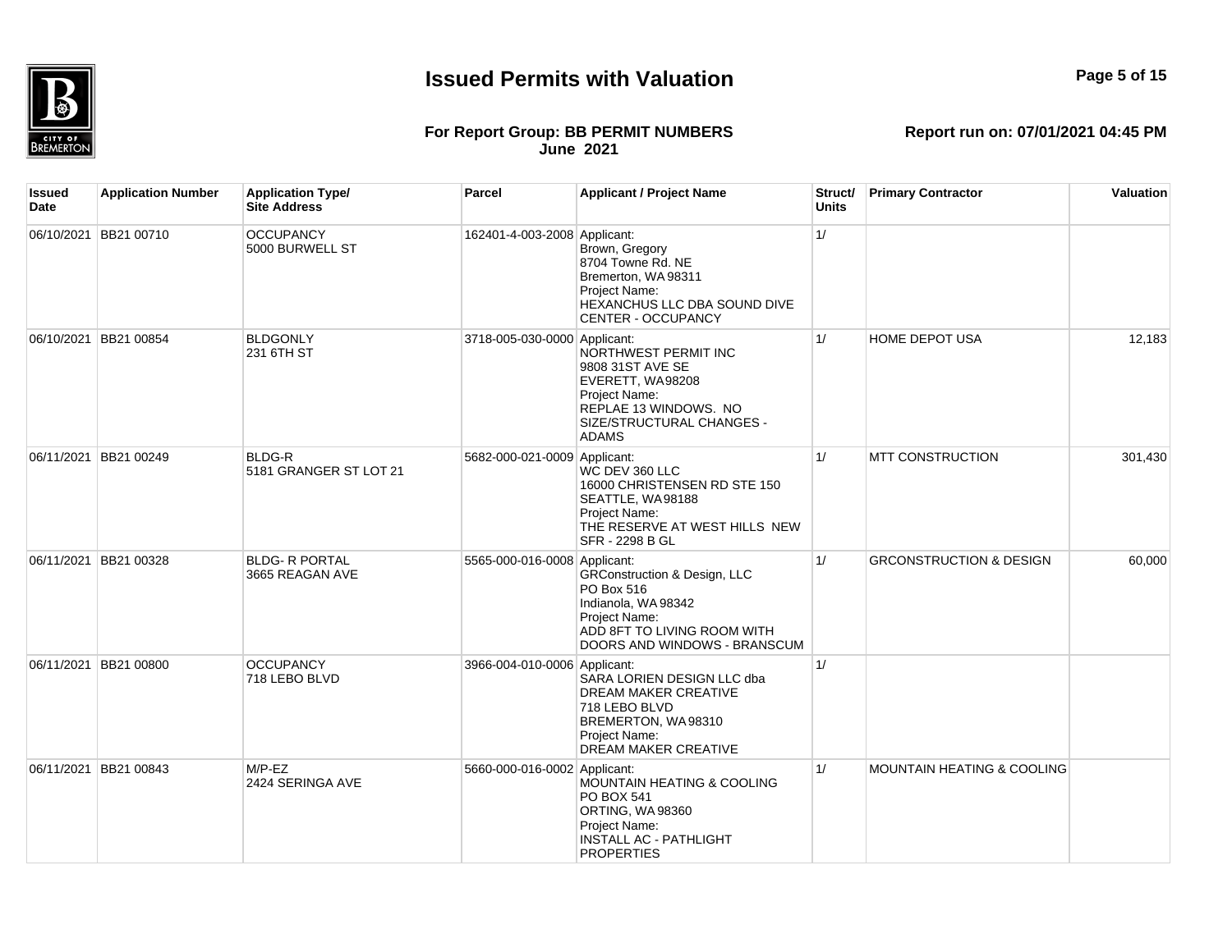

## **Page 5 of 15**

#### **For Report Group: BB PERMIT NUMBERS June 2021**

| Issued<br>Date | <b>Application Number</b> | <b>Application Type/</b><br><b>Site Address</b> | Parcel                       | <b>Applicant / Project Name</b>                                                                                                                              | Struct/<br><b>Units</b> | <b>Primary Contractor</b>             | Valuation |
|----------------|---------------------------|-------------------------------------------------|------------------------------|--------------------------------------------------------------------------------------------------------------------------------------------------------------|-------------------------|---------------------------------------|-----------|
|                | 06/10/2021 BB21 00710     | <b>OCCUPANCY</b><br>5000 BURWELL ST             | 162401-4-003-2008 Applicant: | Brown, Gregory<br>8704 Towne Rd. NE<br>Bremerton, WA 98311<br>Project Name:<br>HEXANCHUS LLC DBA SOUND DIVE<br><b>CENTER - OCCUPANCY</b>                     | 1/                      |                                       |           |
|                | 06/10/2021 BB21 00854     | <b>BLDGONLY</b><br>231 6TH ST                   | 3718-005-030-0000 Applicant: | NORTHWEST PERMIT INC<br>9808 31ST AVE SE<br>EVERETT, WA98208<br>Project Name:<br>REPLAE 13 WINDOWS. NO<br>SIZE/STRUCTURAL CHANGES -<br><b>ADAMS</b>          | 1/                      | HOME DEPOT USA                        | 12,183    |
|                | 06/11/2021 BB21 00249     | BLDG-R<br>5181 GRANGER ST LOT 21                | 5682-000-021-0009 Applicant: | WC DEV 360 LLC<br>16000 CHRISTENSEN RD STE 150<br>SEATTLE, WA98188<br>Project Name:<br>THE RESERVE AT WEST HILLS NEW<br>SFR - 2298 B GL                      | 1/                      | <b>MTT CONSTRUCTION</b>               | 301,430   |
|                | 06/11/2021 BB21 00328     | <b>BLDG- R PORTAL</b><br>3665 REAGAN AVE        | 5565-000-016-0008 Applicant: | <b>GRConstruction &amp; Design, LLC</b><br>PO Box 516<br>Indianola, WA 98342<br>Project Name:<br>ADD 8FT TO LIVING ROOM WITH<br>DOORS AND WINDOWS - BRANSCUM | 1/                      | <b>GRCONSTRUCTION &amp; DESIGN</b>    | 60,000    |
|                | 06/11/2021 BB21 00800     | <b>OCCUPANCY</b><br>718 LEBO BLVD               | 3966-004-010-0006 Applicant: | SARA LORIEN DESIGN LLC dba<br>DREAM MAKER CREATIVE<br>718 LEBO BLVD<br>BREMERTON, WA98310<br>Project Name:<br><b>DREAM MAKER CREATIVE</b>                    | 1/                      |                                       |           |
|                | 06/11/2021 BB21 00843     | $M/P$ -EZ<br>2424 SERINGA AVE                   | 5660-000-016-0002 Applicant: | <b>MOUNTAIN HEATING &amp; COOLING</b><br>PO BOX 541<br>ORTING, WA98360<br>Project Name:<br><b>INSTALL AC - PATHLIGHT</b><br><b>PROPERTIES</b>                | 1/                      | <b>MOUNTAIN HEATING &amp; COOLING</b> |           |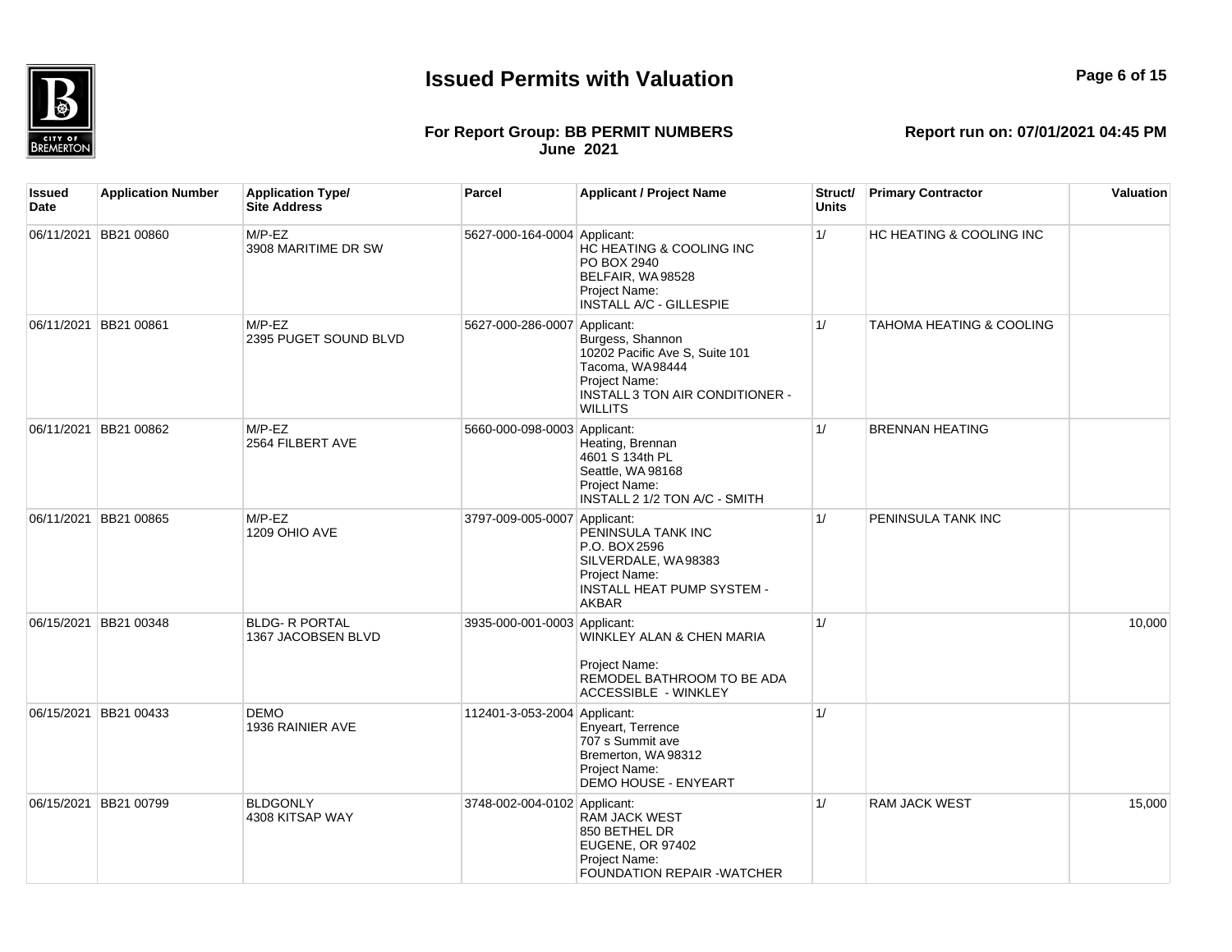

#### **For Report Group: BB PERMIT NUMBERS June 2021**

**Report run on: 07/01/2021 04:45 PM**

| Issued<br>Date | <b>Application Number</b> | <b>Application Type/</b><br><b>Site Address</b> | Parcel                       | <b>Applicant / Project Name</b>                                                                                                             | Struct/<br><b>Units</b> | <b>Primary Contractor</b>           | Valuation |
|----------------|---------------------------|-------------------------------------------------|------------------------------|---------------------------------------------------------------------------------------------------------------------------------------------|-------------------------|-------------------------------------|-----------|
| 06/11/2021     | <b>BB21 00860</b>         | $M/P$ -EZ<br>3908 MARITIME DR SW                | 5627-000-164-0004 Applicant: | HC HEATING & COOLING INC<br>PO BOX 2940<br>BELFAIR, WA98528<br>Project Name:<br>INSTALL A/C - GILLESPIE                                     | 1/                      | HC HEATING & COOLING INC            |           |
|                | 06/11/2021 BB21 00861     | $M/P$ -EZ<br>2395 PUGET SOUND BLVD              | 5627-000-286-0007 Applicant: | Burgess, Shannon<br>10202 Pacific Ave S, Suite 101<br>Tacoma, WA98444<br>Project Name:<br>INSTALL 3 TON AIR CONDITIONER -<br><b>WILLITS</b> | 1/                      | <b>TAHOMA HEATING &amp; COOLING</b> |           |
|                | 06/11/2021 BB21 00862     | $M/P$ -EZ<br>2564 FILBERT AVE                   | 5660-000-098-0003 Applicant: | Heating, Brennan<br>4601 S 134th PL<br>Seattle, WA 98168<br>Project Name:<br>INSTALL 2 1/2 TON A/C - SMITH                                  | 1/                      | <b>BRENNAN HEATING</b>              |           |
|                | 06/11/2021 BB21 00865     | $M/P$ -EZ<br>1209 OHIO AVE                      | 3797-009-005-0007 Applicant: | PENINSULA TANK INC<br>P.O. BOX 2596<br>SILVERDALE, WA98383<br>Project Name:<br><b>INSTALL HEAT PUMP SYSTEM -</b><br><b>AKBAR</b>            | 1/                      | <b>PENINSULA TANK INC</b>           |           |
| 06/15/2021     | BB21 00348                | <b>BLDG- R PORTAL</b><br>1367 JACOBSEN BLVD     | 3935-000-001-0003 Applicant: | WINKLEY ALAN & CHEN MARIA<br>Project Name:<br>REMODEL BATHROOM TO BE ADA<br><b>ACCESSIBLE - WINKLEY</b>                                     | 1/                      |                                     | 10,000    |
| 06/15/2021     | BB21 00433                | <b>DEMO</b><br>1936 RAINIER AVE                 | 112401-3-053-2004 Applicant: | Enveart, Terrence<br>707 s Summit ave<br>Bremerton, WA 98312<br>Project Name:<br><b>DEMO HOUSE - ENYEART</b>                                | 1/                      |                                     |           |
|                | 06/15/2021 BB21 00799     | <b>BLDGONLY</b><br>4308 KITSAP WAY              | 3748-002-004-0102 Applicant: | <b>RAM JACK WEST</b><br>850 BETHEL DR<br>EUGENE, OR 97402<br>Project Name:                                                                  | 1/                      | <b>RAM JACK WEST</b>                | 15,000    |

FOUNDATION REPAIR -WATCHER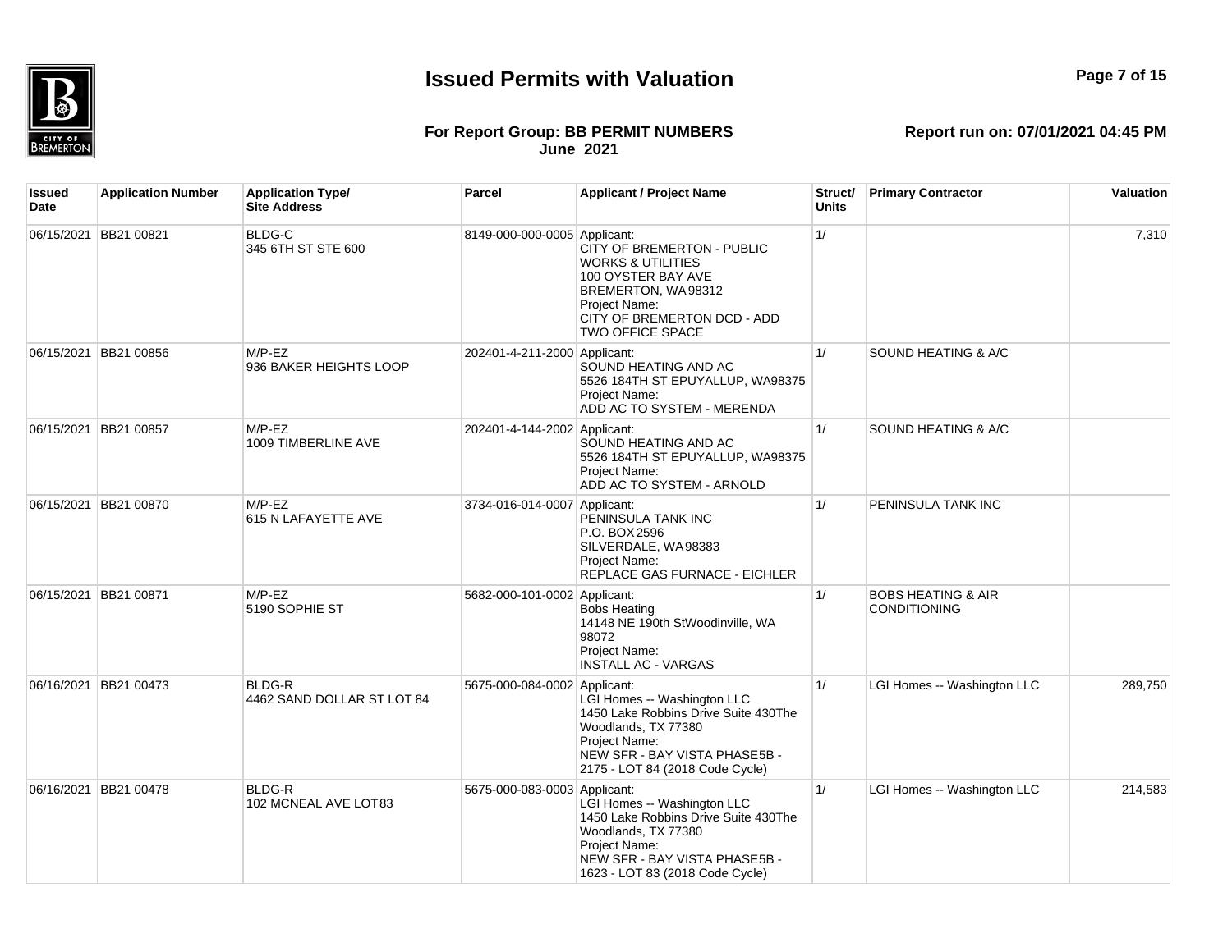

#### **For Report Group: BB PERMIT NUMBERS June 2021**

**Report run on: 07/01/2021 04:45 PM**

**Issued Date Application Number Application Type/ Site Address Parcel Applicant / Project Name Struct/ Units Primary Contractor Valuation** 06/15/2021 BB21 00821 BLDG-C 345 6TH ST STE 600 8149-000-000-0005 Applicant: CITY OF BREMERTON - PUBLIC WORKS & UTILITIES 100 OYSTER BAY AVE BREMERTON, WA 98312 Project Name: CITY OF BREMERTON DCD - ADD TWO OFFICE SPACE  $1/$  7,310 06/15/2021 BB21 00856 M/P-EZ 936 BAKER HEIGHTS LOOP 202401-4-211-2000 Applicant: SOUND HEATING AND AC 5526 184TH ST EPUYALLUP, WA98375 Project Name: ADD AC TO SYSTEM - MERENDA 1/ SOUND HEATING & A/C 06/15/2021 BB21 00857 M/P-EZ 1009 TIMBERLINE AVE 202401-4-144-2002 Applicant: SOUND HEATING AND AC 5526 184TH ST EPUYALLUP, WA98375 Project Name: ADD AC TO SYSTEM - ARNOLD 1/ SOUND HEATING & A/C 06/15/2021 BB21 00870 M/P-FZ 615 N LAFAYETTE AVE 3734-016-014-0007 Applicant: PENINSULA TANK INC P.O. BOX 2596 SILVERDALE, WA 98383 Project Name: REPLACE GAS FURNACE - EICHLER 1/ PENINSULA TANK INC 06/15/2021 BB21 00871 M/P-EZ 5190 SOPHIE ST 5682-000-101-0002 Applicant: Bobs Heating 14148 NE 190th StWoodinville, WA 98072 Project Name: INSTALL AC - VARGAS 1/ BOBS HEATING & AIR CONDITIONING 06/16/2021 BB21 00473 BLDG-R 4462 SAND DOLLAR ST LOT 84 5675-000-084-0002 Applicant: LGI Homes -- Washington LLC 1450 Lake Robbins Drive Suite 430The Woodlands, TX 77380 Project Name: NEW SFR - BAY VISTA PHASE5B -2175 - LOT 84 (2018 Code Cycle) 1/ **LGI Homes -- Washington LLC** 289,750 06/16/2021 BB21 00478 BLDG-R 102 MCNEAL AVE LOT 83 5675-000-083-0003 Applicant: LGI Homes -- Washington LLC 1450 Lake Robbins Drive Suite 430The Woodlands, TX 77380 Project Name: NEW SFR - BAY VISTA PHASE5B -1623 - LOT 83 (2018 Code Cycle) 1/ **LGI Homes -- Washington LLC** 214,583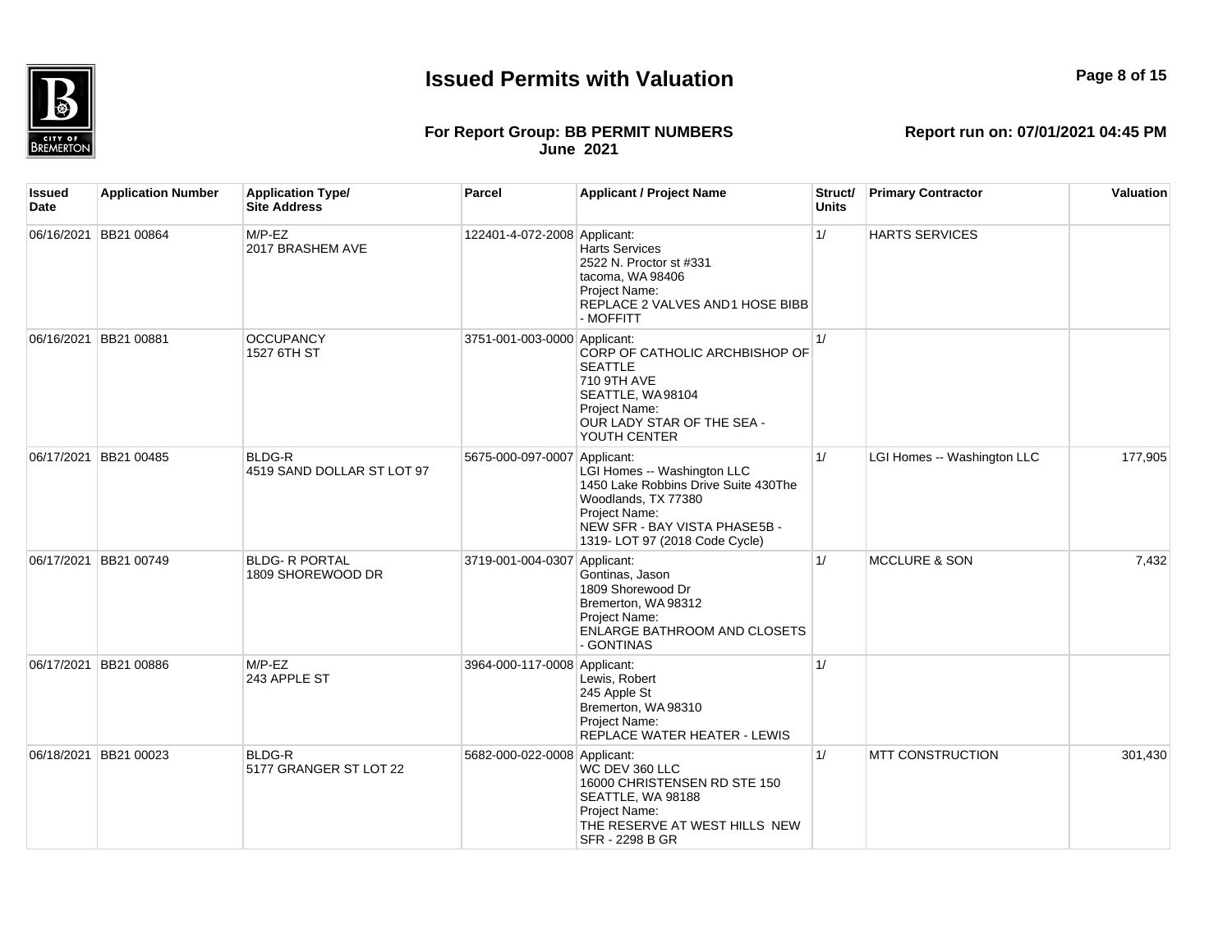

#### **Page 8 of 15**

#### **For Report Group: BB PERMIT NUMBERS June 2021**

**Report run on: 07/01/2021 04:45 PM**

**Issued Date Application Number Application Type/ Site Address Parcel Applicant / Project Name Struct/ Units Primary Contractor Valuation** 06/16/2021 BB21 00864 M/P-EZ 2017 BRASHEM AVE 122401-4-072-2008 Applicant: Harts Services 2522 N. Proctor st #331 tacoma, WA 98406 Project Name: REPLACE 2 VALVES AND 1 HOSE BIBB - MOFFITT 1/ HARTS SERVICES 06/16/2021 BB21 00881 OCCUPANCY 1527 6TH ST 3751-001-003-0000 Applicant: CORP OF CATHOLIC ARCHBISHOP OF SEATTLE 710 9TH AVE SEATTLE, WA 98104 Project Name: OUR LADY STAR OF THE SEA - YOUTH CENTER  $1/$ 06/17/2021 BB21 00485 BLDG-R 4519 SAND DOLLAR ST LOT 97 5675-000-097-0007 Applicant: LGI Homes -- Washington LLC 1450 Lake Robbins Drive Suite 430The Woodlands, TX 77380 Project Name: NEW SFR - BAY VISTA PHASE5B -1319- LOT 97 (2018 Code Cycle) 1/ **LGI Homes -- Washington LLC** 177,905 06/17/2021 BB21 00749 BLDG- R PORTAL 1809 SHOREWOOD DR 3719-001-004-0307 Applicant: Gontinas, Jason 1809 Shorewood Dr Bremerton, WA 98312 Project Name: ENLARGE BATHROOM AND CLOSETS - GONTINAS 1/ MCCLURE & SON 7.432 06/17/2021 BB21 00886 M/P-EZ 243 APPLE ST 3964-000-117-0008 Applicant: Lewis, Robert 245 Apple St Bremerton, WA 98310 Project Name: REPLACE WATER HEATER - LEWIS  $1/$ 06/18/2021 BB21 00023 BLDG-R 5177 GRANGER ST LOT 22 5682-000-022-0008 Applicant: WC DEV 360 LLC 16000 CHRISTENSEN RD STE 150 SEATTLE, WA 98188 Project Name: THE RESERVE AT WEST HILLS NEW SFR - 2298 B GR 1/ MTT CONSTRUCTION 301.430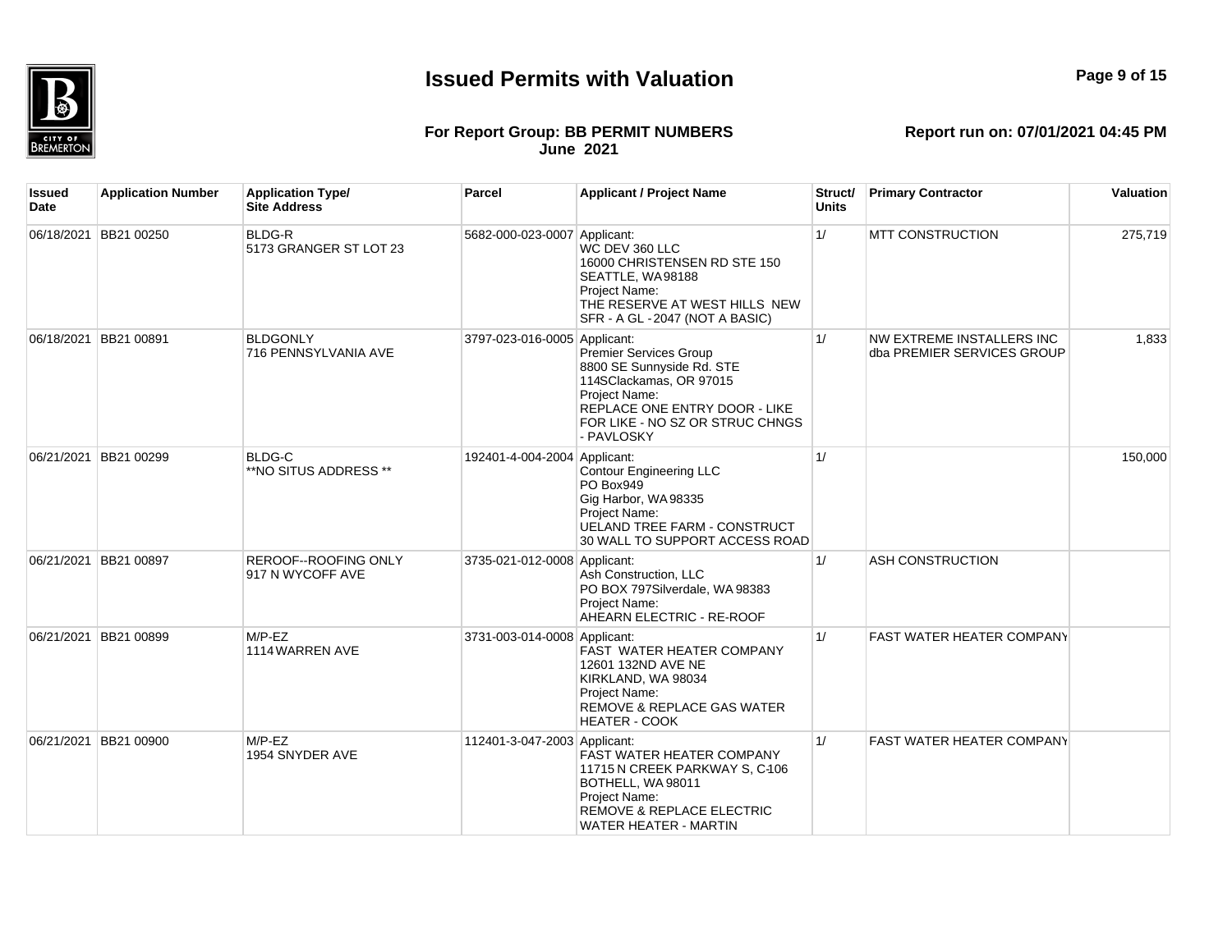## **Page 9 of 15**

#### **For Report Group: BB PERMIT NUMBERS June 2021**

| Issued<br>Date | <b>Application Number</b> | <b>Application Type/</b><br><b>Site Address</b> | Parcel                       | <b>Applicant / Project Name</b>                                                                                                                                                          | Struct/<br><b>Units</b> | <b>Primary Contractor</b>                               | Valuation |
|----------------|---------------------------|-------------------------------------------------|------------------------------|------------------------------------------------------------------------------------------------------------------------------------------------------------------------------------------|-------------------------|---------------------------------------------------------|-----------|
|                | 06/18/2021 BB21 00250     | <b>BLDG-R</b><br>5173 GRANGER ST LOT 23         | 5682-000-023-0007 Applicant: | WC DEV 360 LLC<br>16000 CHRISTENSEN RD STE 150<br>SEATTLE, WA98188<br>Project Name:<br>THE RESERVE AT WEST HILLS NEW<br>SFR - A GL - 2047 (NOT A BASIC)                                  | 1/                      | <b>MTT CONSTRUCTION</b>                                 | 275,719   |
|                | 06/18/2021 BB21 00891     | <b>BLDGONLY</b><br>716 PENNSYLVANIA AVE         | 3797-023-016-0005 Applicant: | <b>Premier Services Group</b><br>8800 SE Sunnyside Rd. STE<br>114SClackamas, OR 97015<br>Project Name:<br>REPLACE ONE ENTRY DOOR - LIKE<br>FOR LIKE - NO SZ OR STRUC CHNGS<br>- PAVLOSKY | 1/                      | NW EXTREME INSTALLERS INC<br>dba PREMIER SERVICES GROUP | 1,833     |
|                | 06/21/2021 BB21 00299     | <b>BLDG-C</b><br>**NO SITUS ADDRESS **          | 192401-4-004-2004 Applicant: | <b>Contour Engineering LLC</b><br>PO Box949<br>Gig Harbor, WA98335<br>Project Name:<br><b>UELAND TREE FARM - CONSTRUCT</b><br>30 WALL TO SUPPORT ACCESS ROAD                             | 1/                      |                                                         | 150,000   |
|                | 06/21/2021 BB21 00897     | <b>REROOF--ROOFING ONLY</b><br>917 N WYCOFF AVE | 3735-021-012-0008 Applicant: | Ash Construction, LLC<br>PO BOX 797Silverdale, WA 98383<br>Project Name:<br>AHEARN ELECTRIC - RE-ROOF                                                                                    | 1/                      | <b>ASH CONSTRUCTION</b>                                 |           |
|                | 06/21/2021 BB21 00899     | $M/P$ -EZ<br>1114 WARREN AVE                    | 3731-003-014-0008 Applicant: | <b>FAST WATER HEATER COMPANY</b><br>12601 132ND AVE NE<br>KIRKLAND, WA 98034<br>Project Name:<br>REMOVE & REPLACE GAS WATER<br><b>HEATER - COOK</b>                                      | 1/                      | <b>FAST WATER HEATER COMPANY</b>                        |           |
| 06/21/2021     | BB21 00900                | $M/P$ -EZ<br>1954 SNYDER AVE                    | 112401-3-047-2003 Applicant: | <b>FAST WATER HEATER COMPANY</b><br>11715 N CREEK PARKWAY S, C-106<br>BOTHELL, WA98011<br>Project Name:<br>REMOVE & REPLACE ELECTRIC<br>WATER HEATER - MARTIN                            | 1/                      | <b>FAST WATER HEATER COMPANY</b>                        |           |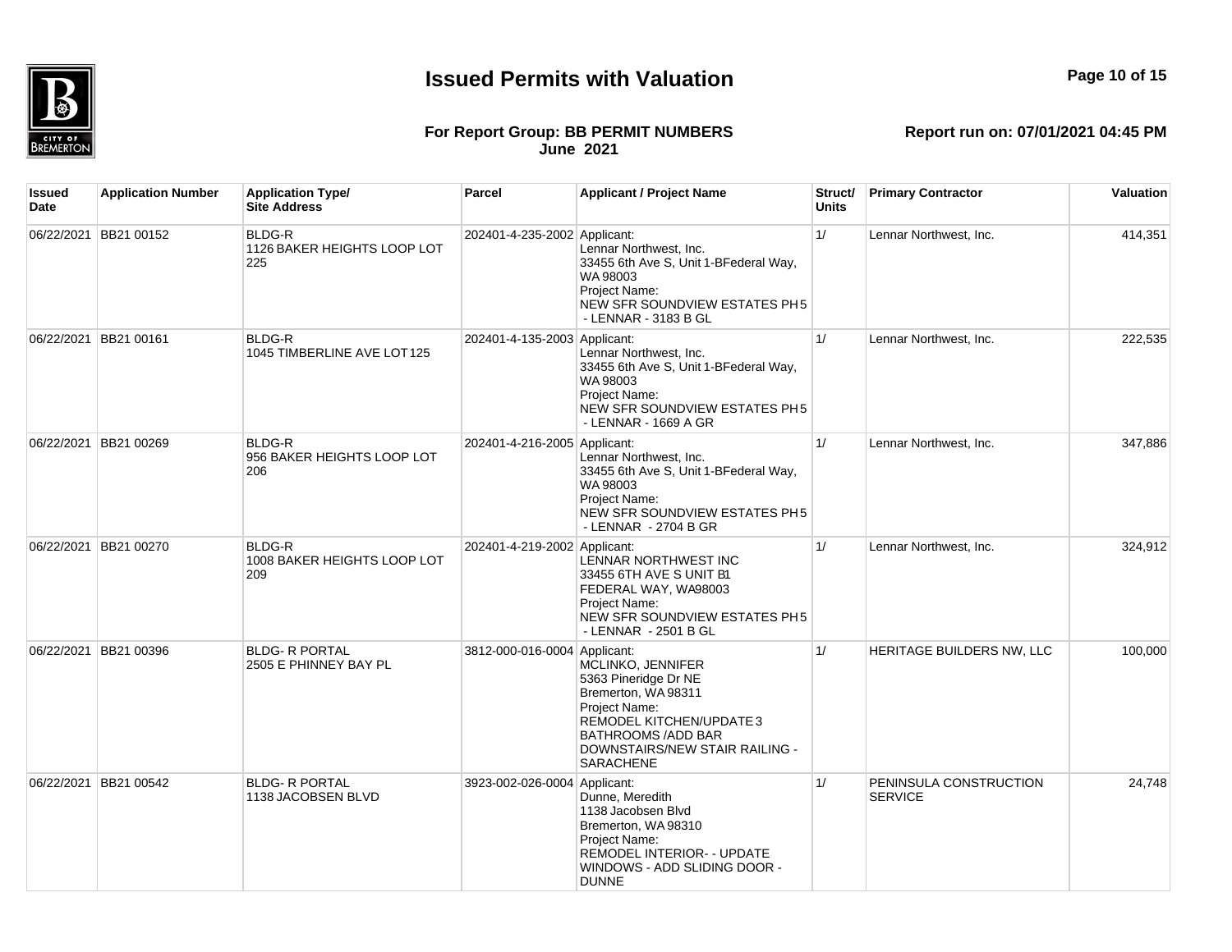

#### **For Report Group: BB PERMIT NUMBERS June 2021**

| Issued<br>Date | <b>Application Number</b> | <b>Application Type/</b><br><b>Site Address</b>     | Parcel                       | <b>Applicant / Project Name</b>                                                                                                                                                                  | Struct/<br>Units | <b>Primary Contractor</b>                | Valuation |
|----------------|---------------------------|-----------------------------------------------------|------------------------------|--------------------------------------------------------------------------------------------------------------------------------------------------------------------------------------------------|------------------|------------------------------------------|-----------|
|                | 06/22/2021 BB21 00152     | <b>BLDG-R</b><br>1126 BAKER HEIGHTS LOOP LOT<br>225 | 202401-4-235-2002 Applicant: | Lennar Northwest, Inc.<br>33455 6th Ave S, Unit 1-BFederal Way,<br>WA 98003<br>Project Name:<br>NEW SFR SOUNDVIEW ESTATES PH5<br>- LENNAR - 3183 B GL                                            | 1/               | Lennar Northwest, Inc.                   | 414,351   |
|                | 06/22/2021 BB21 00161     | <b>BLDG-R</b><br>1045 TIMBERLINE AVE LOT125         | 202401-4-135-2003 Applicant: | Lennar Northwest, Inc.<br>33455 6th Ave S, Unit 1-BFederal Way,<br>WA 98003<br>Project Name:<br>NEW SFR SOUNDVIEW ESTATES PH5<br>- LENNAR - 1669 A GR                                            | 1/               | Lennar Northwest, Inc.                   | 222,535   |
|                | 06/22/2021 BB21 00269     | BLDG-R<br>956 BAKER HEIGHTS LOOP LOT<br>206         | 202401-4-216-2005 Applicant: | Lennar Northwest, Inc.<br>33455 6th Ave S, Unit 1-BFederal Way,<br>WA 98003<br>Project Name:<br>NEW SFR SOUNDVIEW ESTATES PH5<br>- LENNAR - 2704 B GR                                            | 1/               | Lennar Northwest, Inc.                   | 347,886   |
|                | 06/22/2021 BB21 00270     | BLDG-R<br>1008 BAKER HEIGHTS LOOP LOT<br>209        | 202401-4-219-2002 Applicant: | LENNAR NORTHWEST INC<br>33455 6TH AVE S UNIT B1<br>FEDERAL WAY, WA98003<br>Project Name:<br>NEW SFR SOUNDVIEW ESTATES PH5<br>- LENNAR - 2501 B GL                                                | 1/               | Lennar Northwest, Inc.                   | 324,912   |
|                | 06/22/2021 BB21 00396     | <b>BLDG- R PORTAL</b><br>2505 E PHINNEY BAY PL      | 3812-000-016-0004 Applicant: | MCLINKO, JENNIFER<br>5363 Pineridge Dr NE<br>Bremerton, WA 98311<br>Project Name:<br>REMODEL KITCHEN/UPDATE 3<br><b>BATHROOMS /ADD BAR</b><br>DOWNSTAIRS/NEW STAIR RAILING -<br><b>SARACHENE</b> | 1/               | HERITAGE BUILDERS NW, LLC                | 100,000   |
|                | 06/22/2021 BB21 00542     | <b>BLDG- R PORTAL</b><br>1138 JACOBSEN BLVD         | 3923-002-026-0004 Applicant: | Dunne, Meredith<br>1138 Jacobsen Blyd<br>Bremerton, WA 98310<br>Project Name:<br>REMODEL INTERIOR- - UPDATE<br>WINDOWS - ADD SLIDING DOOR -<br><b>DUNNE</b>                                      | 1/               | PENINSULA CONSTRUCTION<br><b>SERVICE</b> | 24,748    |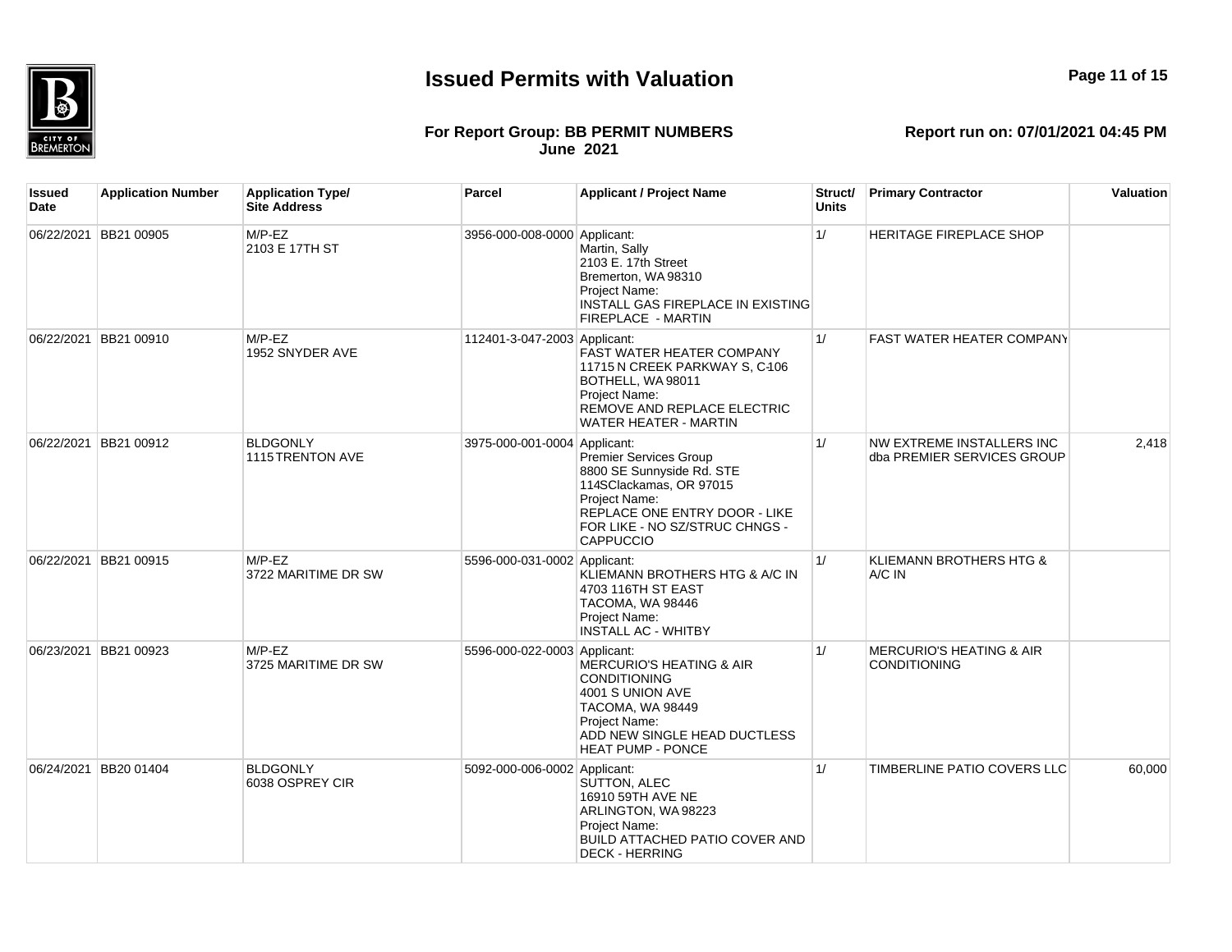

#### **For Report Group: BB PERMIT NUMBERS June 2021**

| Issued<br>Date | <b>Application Number</b> | <b>Application Type/</b><br><b>Site Address</b> | Parcel                       | <b>Applicant / Project Name</b>                                                                                                                                                               | Struct/<br><b>Units</b> | <b>Primary Contractor</b>                                  | Valuation |
|----------------|---------------------------|-------------------------------------------------|------------------------------|-----------------------------------------------------------------------------------------------------------------------------------------------------------------------------------------------|-------------------------|------------------------------------------------------------|-----------|
|                | 06/22/2021 BB21 00905     | $M/P$ -EZ<br>2103 E 17TH ST                     | 3956-000-008-0000 Applicant: | Martin, Sally<br>2103 E. 17th Street<br>Bremerton, WA 98310<br>Project Name:<br>INSTALL GAS FIREPLACE IN EXISTING<br>FIREPLACE - MARTIN                                                       | 1/                      | HERITAGE FIREPLACE SHOP                                    |           |
|                | 06/22/2021 BB21 00910     | $M/P$ -EZ<br>1952 SNYDER AVE                    | 112401-3-047-2003 Applicant: | FAST WATER HEATER COMPANY<br>11715 N CREEK PARKWAY S, C-106<br>BOTHELL, WA 98011<br>Project Name:<br>REMOVE AND REPLACE ELECTRIC<br>WATER HEATER - MARTIN                                     | 1/                      | <b>FAST WATER HEATER COMPANY</b>                           |           |
|                | 06/22/2021 BB21 00912     | <b>BLDGONLY</b><br>1115 TRENTON AVE             | 3975-000-001-0004 Applicant: | <b>Premier Services Group</b><br>8800 SE Sunnyside Rd. STE<br>114SClackamas, OR 97015<br>Project Name:<br>REPLACE ONE ENTRY DOOR - LIKE<br>FOR LIKE - NO SZ/STRUC CHNGS -<br><b>CAPPUCCIO</b> | 1/                      | NW EXTREME INSTALLERS INC<br>dba PREMIER SERVICES GROUP    | 2,418     |
|                | 06/22/2021 BB21 00915     | $M/P$ -EZ<br>3722 MARITIME DR SW                | 5596-000-031-0002 Applicant: | KLIEMANN BROTHERS HTG & A/C IN<br>4703 116TH ST EAST<br>TACOMA, WA 98446<br>Project Name:<br><b>INSTALL AC - WHITBY</b>                                                                       | 1/                      | KLIEMANN BROTHERS HTG &<br>A/C IN                          |           |
|                | 06/23/2021 BB21 00923     | $M/P$ -EZ<br>3725 MARITIME DR SW                | 5596-000-022-0003 Applicant: | <b>MERCURIO'S HEATING &amp; AIR</b><br><b>CONDITIONING</b><br>4001 S UNION AVE<br>TACOMA, WA 98449<br>Project Name:<br>ADD NEW SINGLE HEAD DUCTLESS<br><b>HEAT PUMP - PONCE</b>               | 1/                      | <b>MERCURIO'S HEATING &amp; AIR</b><br><b>CONDITIONING</b> |           |
|                | 06/24/2021 BB20 01404     | <b>BLDGONLY</b><br>6038 OSPREY CIR              | 5092-000-006-0002 Applicant: | SUTTON, ALEC<br>16910 59TH AVE NE<br>ARLINGTON, WA 98223<br>Project Name:<br>BUILD ATTACHED PATIO COVER AND<br><b>DECK - HERRING</b>                                                          | 1/                      | TIMBERLINE PATIO COVERS LLC                                | 60,000    |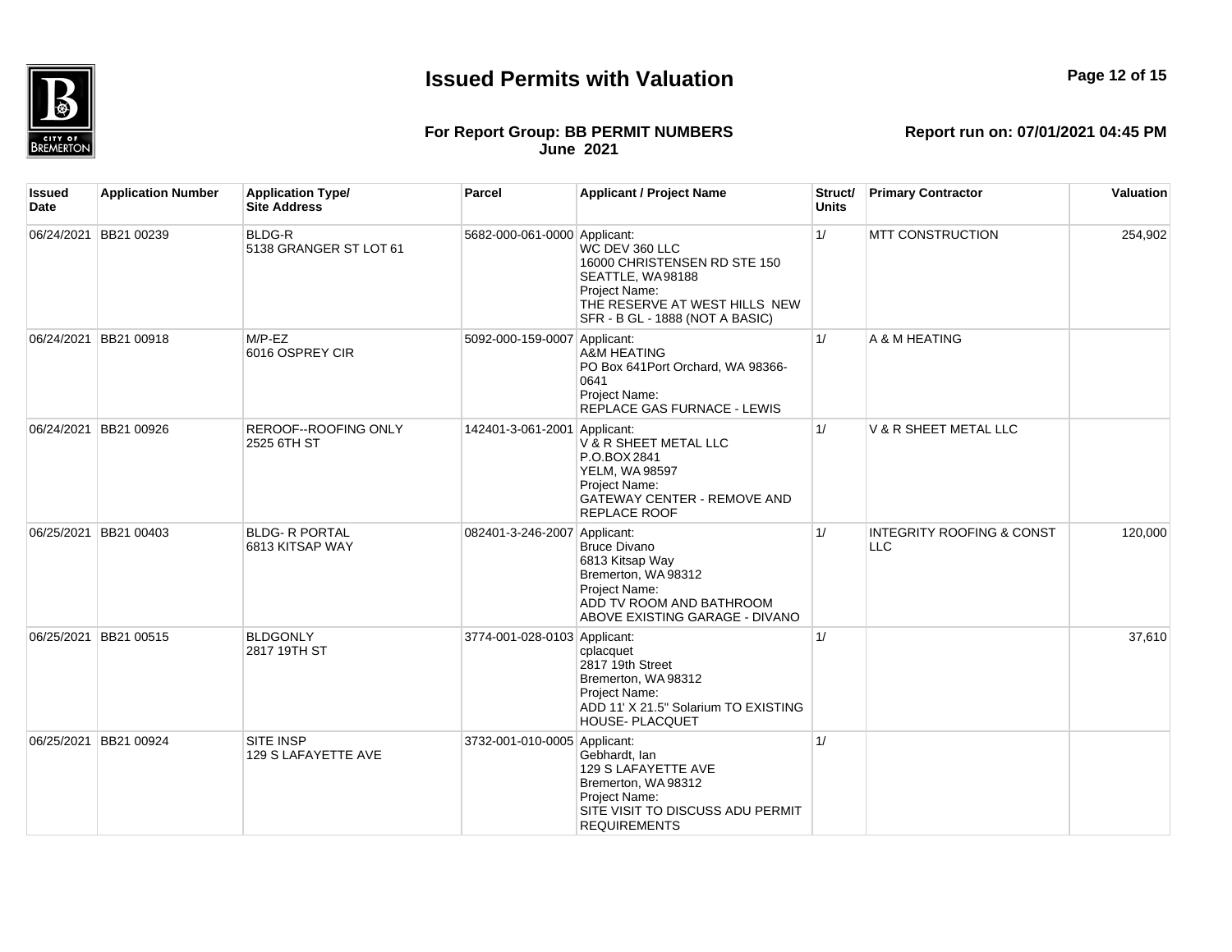

#### **For Report Group: BB PERMIT NUMBERS June 2021**

| <b>June 2021</b> |  |  |
|------------------|--|--|
|                  |  |  |

| Issued<br>Date | <b>Application Number</b> | <b>Application Type/</b><br><b>Site Address</b> | <b>Parcel</b>                | <b>Applicant / Project Name</b>                                                                                                                         | Struct/<br><b>Units</b> | <b>Primary Contractor</b>                          | <b>Valuation</b> |
|----------------|---------------------------|-------------------------------------------------|------------------------------|---------------------------------------------------------------------------------------------------------------------------------------------------------|-------------------------|----------------------------------------------------|------------------|
|                | 06/24/2021 BB21 00239     | <b>BLDG-R</b><br>5138 GRANGER ST LOT 61         | 5682-000-061-0000 Applicant: | WC DEV 360 LLC<br>16000 CHRISTENSEN RD STE 150<br>SEATTLE, WA98188<br>Project Name:<br>THE RESERVE AT WEST HILLS NEW<br>SFR - B GL - 1888 (NOT A BASIC) | 1/                      | <b>MTT CONSTRUCTION</b>                            | 254,902          |
|                | 06/24/2021 BB21 00918     | $M/P$ -EZ<br>6016 OSPREY CIR                    | 5092-000-159-0007 Applicant: | A&M HEATING<br>PO Box 641Port Orchard, WA 98366-<br>0641<br>Project Name:<br><b>REPLACE GAS FURNACE - LEWIS</b>                                         | 1/                      | A & M HEATING                                      |                  |
|                | 06/24/2021 BB21 00926     | <b>REROOF--ROOFING ONLY</b><br>2525 6TH ST      | 142401-3-061-2001 Applicant: | V & R SHEET METAL LLC<br>P.O.BOX 2841<br><b>YELM, WA 98597</b><br>Project Name:<br>GATEWAY CENTER - REMOVE AND<br>REPLACE ROOF                          | 1/                      | V & R SHEET METAL LLC                              |                  |
|                | 06/25/2021 BB21 00403     | <b>BLDG- R PORTAL</b><br>6813 KITSAP WAY        | 082401-3-246-2007 Applicant: | <b>Bruce Divano</b><br>6813 Kitsap Way<br>Bremerton, WA 98312<br>Project Name:<br>ADD TV ROOM AND BATHROOM<br>ABOVE EXISTING GARAGE - DIVANO            | 1/                      | <b>INTEGRITY ROOFING &amp; CONST</b><br><b>LLC</b> | 120,000          |
|                | 06/25/2021 BB21 00515     | <b>BLDGONLY</b><br>2817 19TH ST                 | 3774-001-028-0103 Applicant: | cplacquet<br>2817 19th Street<br>Bremerton, WA 98312<br><b>Project Name:</b><br>ADD 11' X 21.5" Solarium TO EXISTING<br>HOUSE- PLACQUET                 | 1/                      |                                                    | 37,610           |
|                | 06/25/2021 BB21 00924     | <b>SITE INSP</b><br>129 S LAFAYETTE AVE         | 3732-001-010-0005 Applicant: | Gebhardt, Ian<br>129 S LAFAYETTE AVE<br>Bremerton, WA 98312<br>Project Name:<br>SITE VISIT TO DISCUSS ADU PERMIT<br><b>REQUIREMENTS</b>                 | 1/                      |                                                    |                  |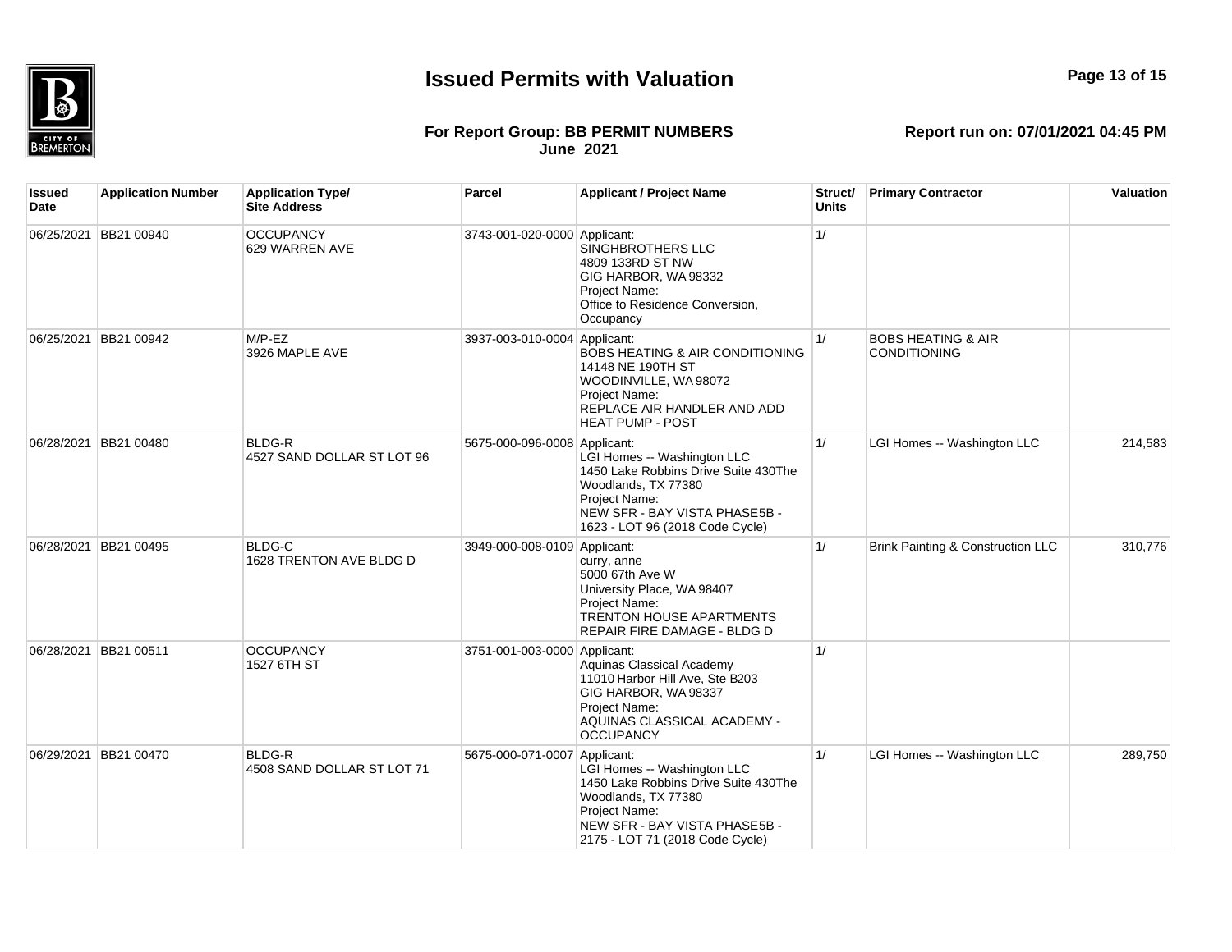

#### **For Report Group: BB PERMIT NUMBERS June 2021**

| Issued<br>Date | <b>Application Number</b> | <b>Application Type/</b><br><b>Site Address</b> | Parcel                       | <b>Applicant / Project Name</b>                                                                                                                                                 | Struct/<br><b>Units</b> | <b>Primary Contractor</b>                            | Valuation |
|----------------|---------------------------|-------------------------------------------------|------------------------------|---------------------------------------------------------------------------------------------------------------------------------------------------------------------------------|-------------------------|------------------------------------------------------|-----------|
| 06/25/2021     | BB21 00940                | <b>OCCUPANCY</b><br>629 WARREN AVE              | 3743-001-020-0000 Applicant: | SINGHBROTHERS LLC<br>4809 133RD ST NW<br>GIG HARBOR, WA 98332<br>Project Name:<br>Office to Residence Conversion,<br>Occupancy                                                  | 1/                      |                                                      |           |
|                | 06/25/2021 BB21 00942     | $M/P$ -EZ<br>3926 MAPLE AVE                     | 3937-003-010-0004 Applicant: | <b>BOBS HEATING &amp; AIR CONDITIONING</b><br>14148 NE 190TH ST<br>WOODINVILLE, WA 98072<br>Project Name:<br>REPLACE AIR HANDLER AND ADD<br><b>HEAT PUMP - POST</b>             | 1/                      | <b>BOBS HEATING &amp; AIR</b><br><b>CONDITIONING</b> |           |
|                | 06/28/2021 BB21 00480     | <b>BLDG-R</b><br>4527 SAND DOLLAR ST LOT 96     | 5675-000-096-0008 Applicant: | LGI Homes -- Washington LLC<br>1450 Lake Robbins Drive Suite 430The<br>Woodlands, TX 77380<br>Project Name:<br>NEW SFR - BAY VISTA PHASE5B -<br>1623 - LOT 96 (2018 Code Cycle) | 1/                      | LGI Homes -- Washington LLC                          | 214,583   |
|                | 06/28/2021 BB21 00495     | <b>BLDG-C</b><br>1628 TRENTON AVE BLDG D        | 3949-000-008-0109 Applicant: | curry, anne<br>5000 67th Ave W<br>University Place, WA 98407<br>Project Name:<br><b>TRENTON HOUSE APARTMENTS</b><br>REPAIR FIRE DAMAGE - BLDG D                                 | 1/                      | Brink Painting & Construction LLC                    | 310,776   |
|                | 06/28/2021 BB21 00511     | <b>OCCUPANCY</b><br>1527 6TH ST                 | 3751-001-003-0000 Applicant: | Aquinas Classical Academy<br>11010 Harbor Hill Ave, Ste B203<br>GIG HARBOR, WA98337<br>Project Name:<br>AQUINAS CLASSICAL ACADEMY -<br><b>OCCUPANCY</b>                         | 1/                      |                                                      |           |
|                | 06/29/2021 BB21 00470     | <b>BLDG-R</b><br>4508 SAND DOLLAR ST LOT 71     | 5675-000-071-0007 Applicant: | LGI Homes -- Washington LLC<br>1450 Lake Robbins Drive Suite 430The<br>Woodlands, TX 77380<br>Project Name:<br>NEW SFR - BAY VISTA PHASE5B -<br>2175 - LOT 71 (2018 Code Cycle) | 1/                      | LGI Homes -- Washington LLC                          | 289.750   |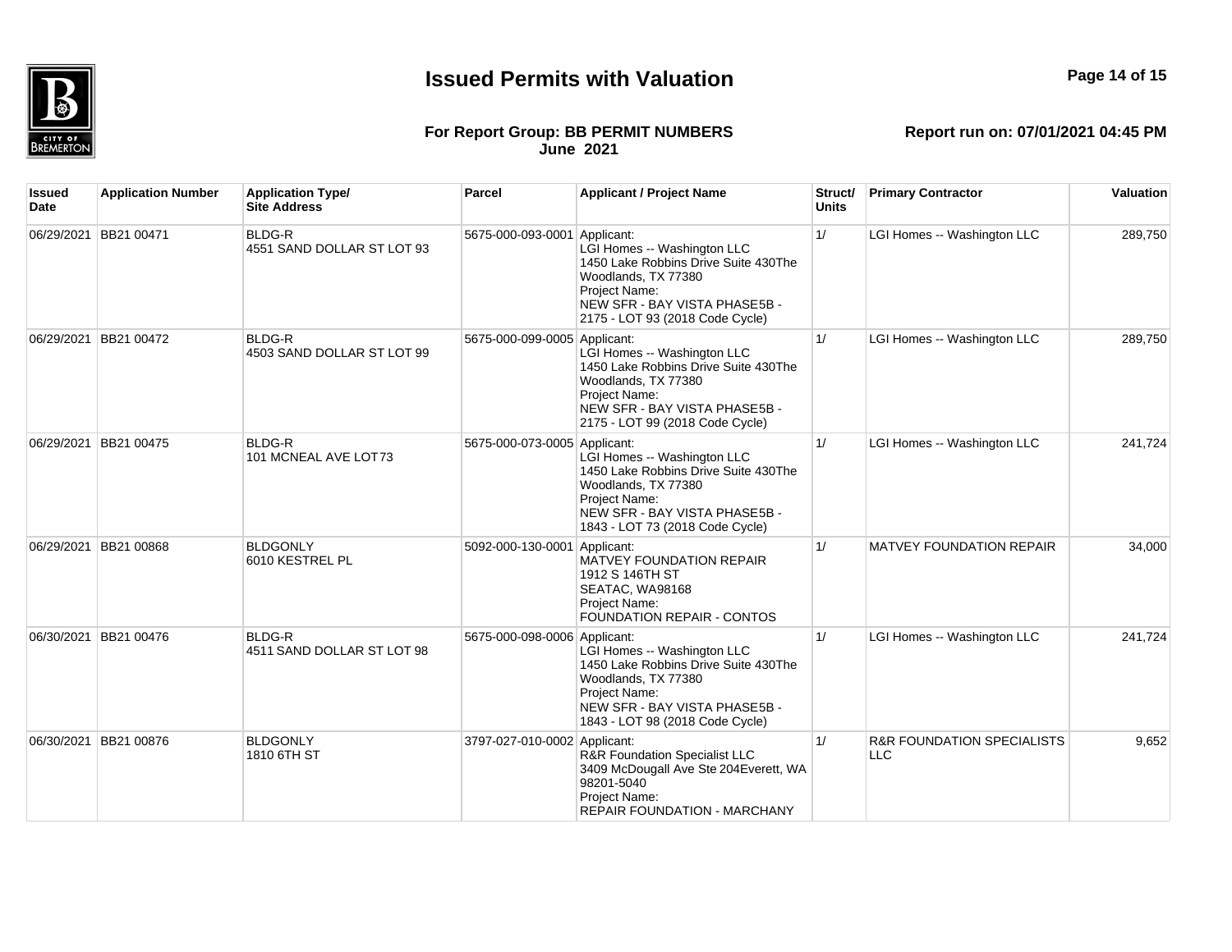

06/30/2021 BB21 00476 BLDG-R

## **Page 14 of 15**

**Valuation** 

289,750

289,750

241,724

34,000

#### **For Report Group: BB PERMIT NUMBERS June 2021**

**Report run on: 07/01/2021 04:45 PM**

1/ LGI Homes -- Washington LLC 241,724

| Issued<br>Date | <b>Application Number</b> | <b>Application Type/</b><br><b>Site Address</b> | Parcel                       | <b>Applicant / Project Name</b>                                                                                                                                                 | Struct/<br><b>Units</b> | <b>Primary Contractor</b>       |  |
|----------------|---------------------------|-------------------------------------------------|------------------------------|---------------------------------------------------------------------------------------------------------------------------------------------------------------------------------|-------------------------|---------------------------------|--|
| 06/29/2021     | BB21 00471                | <b>BLDG-R</b><br>4551 SAND DOLLAR ST LOT 93     | 5675-000-093-0001 Applicant: | LGI Homes -- Washington LLC<br>1450 Lake Robbins Drive Suite 430The<br>Woodlands, TX 77380<br>Project Name:<br>NEW SFR - BAY VISTA PHASE5B -<br>2175 - LOT 93 (2018 Code Cycle) | 1/                      | LGI Homes -- Washington LLC     |  |
| 06/29/2021     | <b>BB21 00472</b>         | <b>BLDG-R</b><br>4503 SAND DOLLAR ST LOT 99     | 5675-000-099-0005 Applicant: | LGI Homes -- Washington LLC<br>1450 Lake Robbins Drive Suite 430The<br>Woodlands, TX 77380<br>Project Name:<br>NEW SFR - BAY VISTA PHASE5B -<br>2175 - LOT 99 (2018 Code Cycle) | 1/                      | LGI Homes -- Washington LLC     |  |
| 06/29/2021     | BB21 00475                | <b>BLDG-R</b><br>101 MCNEAL AVE LOT73           | 5675-000-073-0005 Applicant: | LGI Homes -- Washington LLC<br>1450 Lake Robbins Drive Suite 430The<br>Woodlands, TX 77380<br>Project Name:<br>NEW SFR - BAY VISTA PHASE5B -<br>1843 - LOT 73 (2018 Code Cycle) | 1/                      | LGI Homes -- Washington LLC     |  |
| 06/29/2021     | BB21 00868                | <b>BLDGONLY</b><br>6010 KESTREL PL              | 5092-000-130-0001 Applicant: | <b>MATVEY FOUNDATION REPAIR</b><br>1912 S 146TH ST<br>SEATAC, WA98168<br>Project Name:<br><b>FOUNDATION REPAIR - CONTOS</b>                                                     | 1/                      | <b>MATVEY FOUNDATION REPAIR</b> |  |

4511 SAND DOLLAR ST LOT 98 5675-000-098-0006 Applicant: LGI Homes -- Washington LLC 1450 Lake Robbins Drive Suite 430The Woodlands, TX 77380 Project Name:

|            |            |                                |                              | Woodlands, TX 77380<br><b>Project Name:</b><br>NEW SFR - BAY VISTA PHASE5B -<br>1843 - LOT 98 (2018 Code Cycle)          |                                              |       |
|------------|------------|--------------------------------|------------------------------|--------------------------------------------------------------------------------------------------------------------------|----------------------------------------------|-------|
| 06/30/2021 | BB21 00876 | <b>BLDGONLY</b><br>1810 6TH ST | 3797-027-010-0002 Applicant: | <b>R&amp;R Foundation Specialist LLC</b><br>3409 McDougall Ave Ste 204 Everett, WA<br>98201-5040<br><b>Project Name:</b> | <b>R&amp;R FOUNDATION SPECIALISTS</b><br>LLC | 9.652 |

REPAIR FOUNDATION - MARCHANY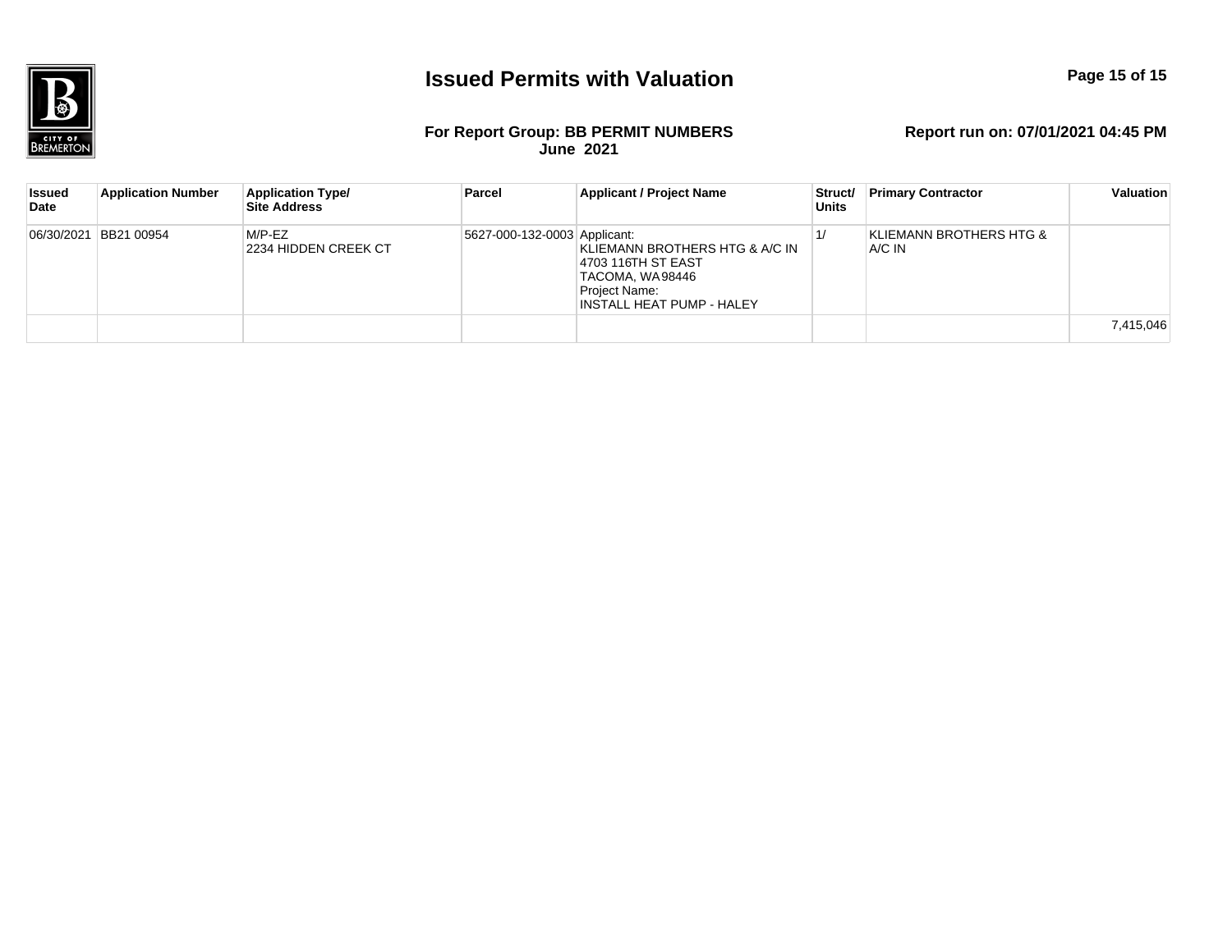

#### **For Report Group: BB PERMIT NUMBERS June 2021**

| <b>Issued</b><br>Date | <b>Application Number</b> | <b>Application Type/</b><br><b>Site Address</b> | Parcel                       | <b>Applicant / Project Name</b>                                                                                        | Struct/<br><b>Units</b> | <b>Primary Contractor</b>         | Valuation |
|-----------------------|---------------------------|-------------------------------------------------|------------------------------|------------------------------------------------------------------------------------------------------------------------|-------------------------|-----------------------------------|-----------|
|                       | 06/30/2021 BB21 00954     | M/P-EZ<br>2234 HIDDEN CREEK CT                  | 5627-000-132-0003 Applicant: | KLIEMANN BROTHERS HTG & A/C IN<br> 4703 116TH ST EAST<br>TACOMA, WA98446<br>Project Name:<br>INSTALL HEAT PUMP - HALEY |                         | KLIEMANN BROTHERS HTG &<br>A/C IN |           |
|                       |                           |                                                 |                              |                                                                                                                        |                         |                                   | 7,415,046 |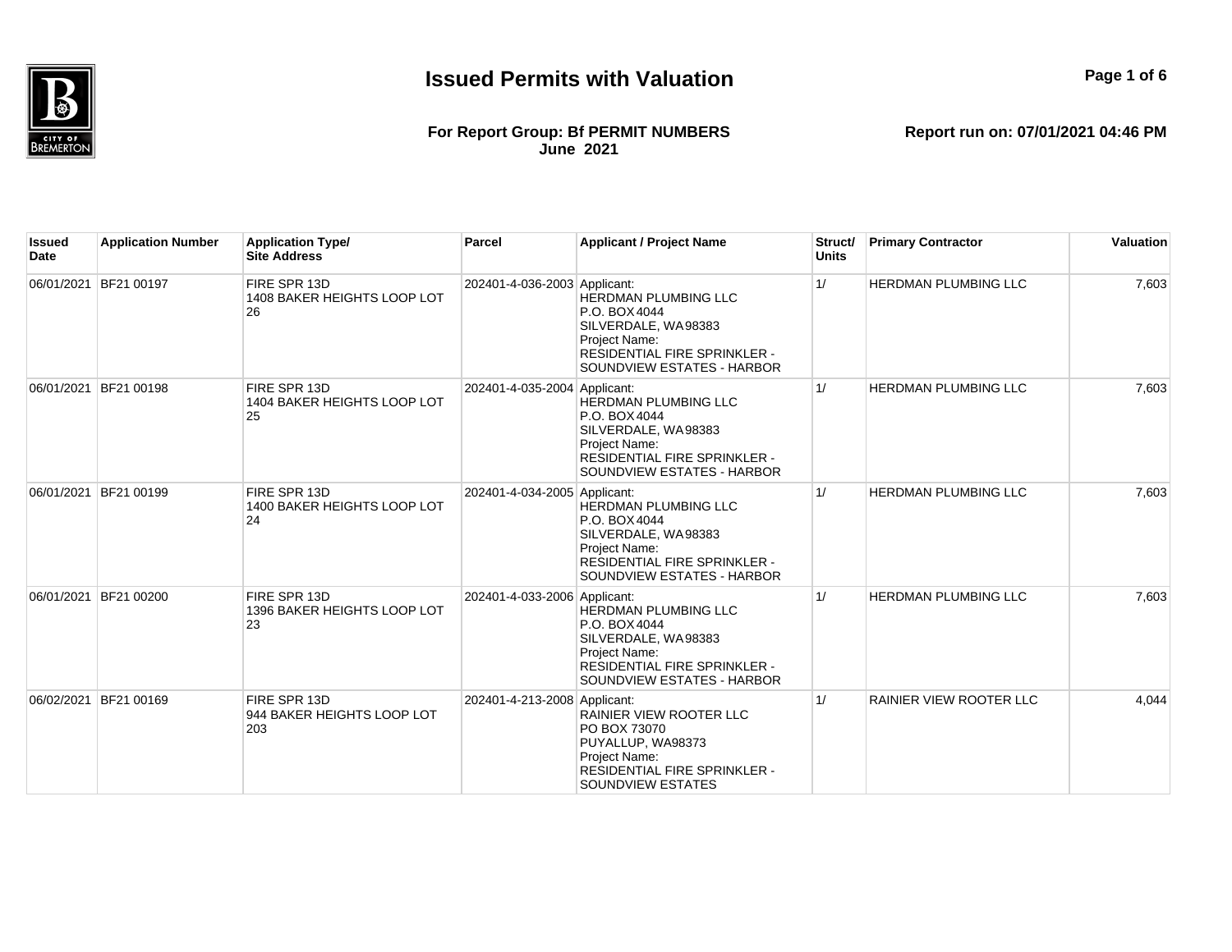

#### **For Report Group: Bf PERMIT NUMBERS June 2021**

**Report run on: 07/01/2021 04:46 PM**

**Page 1 of 6**

| <b>Issued</b><br>Date | <b>Application Number</b> | <b>Application Type/</b><br><b>Site Address</b>   | <b>Parcel</b>                | <b>Applicant / Project Name</b>                                                                                                                                  | Struct/<br><b>Units</b> | <b>Primary Contractor</b>   | Valuation |
|-----------------------|---------------------------|---------------------------------------------------|------------------------------|------------------------------------------------------------------------------------------------------------------------------------------------------------------|-------------------------|-----------------------------|-----------|
|                       | 06/01/2021 BF21 00197     | FIRE SPR 13D<br>1408 BAKER HEIGHTS LOOP LOT<br>26 | 202401-4-036-2003 Applicant: | <b>HERDMAN PLUMBING LLC</b><br>P.O. BOX 4044<br>SILVERDALE, WA98383<br>Project Name:<br>RESIDENTIAL FIRE SPRINKLER -<br>SOUNDVIEW ESTATES - HARBOR               | 1/                      | HERDMAN PLUMBING LLC        | 7,603     |
|                       | 06/01/2021 BF21 00198     | FIRE SPR 13D<br>1404 BAKER HEIGHTS LOOP LOT<br>25 | 202401-4-035-2004 Applicant: | <b>HERDMAN PLUMBING LLC</b><br>P.O. BOX 4044<br>SILVERDALE, WA98383<br>Project Name:<br>RESIDENTIAL FIRE SPRINKLER -<br>SOUNDVIEW ESTATES - HARBOR               | 1/                      | <b>HERDMAN PLUMBING LLC</b> | 7,603     |
|                       | 06/01/2021 BF21 00199     | FIRE SPR 13D<br>1400 BAKER HEIGHTS LOOP LOT<br>24 | 202401-4-034-2005 Applicant: | <b>HERDMAN PLUMBING LLC</b><br>P.O. BOX 4044<br>SILVERDALE, WA98383<br><b>Project Name:</b><br><b>RESIDENTIAL FIRE SPRINKLER -</b><br>SOUNDVIEW ESTATES - HARBOR | 1/                      | HERDMAN PLUMBING LLC        | 7,603     |
|                       | 06/01/2021 BF21 00200     | FIRE SPR 13D<br>1396 BAKER HEIGHTS LOOP LOT<br>23 | 202401-4-033-2006 Applicant: | <b>HERDMAN PLUMBING LLC</b><br>P.O. BOX 4044<br>SILVERDALE, WA98383<br><b>Project Name:</b><br>RESIDENTIAL FIRE SPRINKLER -<br>SOUNDVIEW ESTATES - HARBOR        | 1/                      | <b>HERDMAN PLUMBING LLC</b> | 7,603     |
|                       | 06/02/2021 BF21 00169     | FIRE SPR 13D<br>944 BAKER HEIGHTS LOOP LOT<br>203 | 202401-4-213-2008 Applicant: | RAINIER VIEW ROOTER LLC<br>PO BOX 73070<br>PUYALLUP, WA98373<br>Project Name:<br>RESIDENTIAL FIRE SPRINKLER -<br>SOUNDVIEW ESTATES                               | 1/                      | RAINIER VIEW ROOTER LLC     | 4,044     |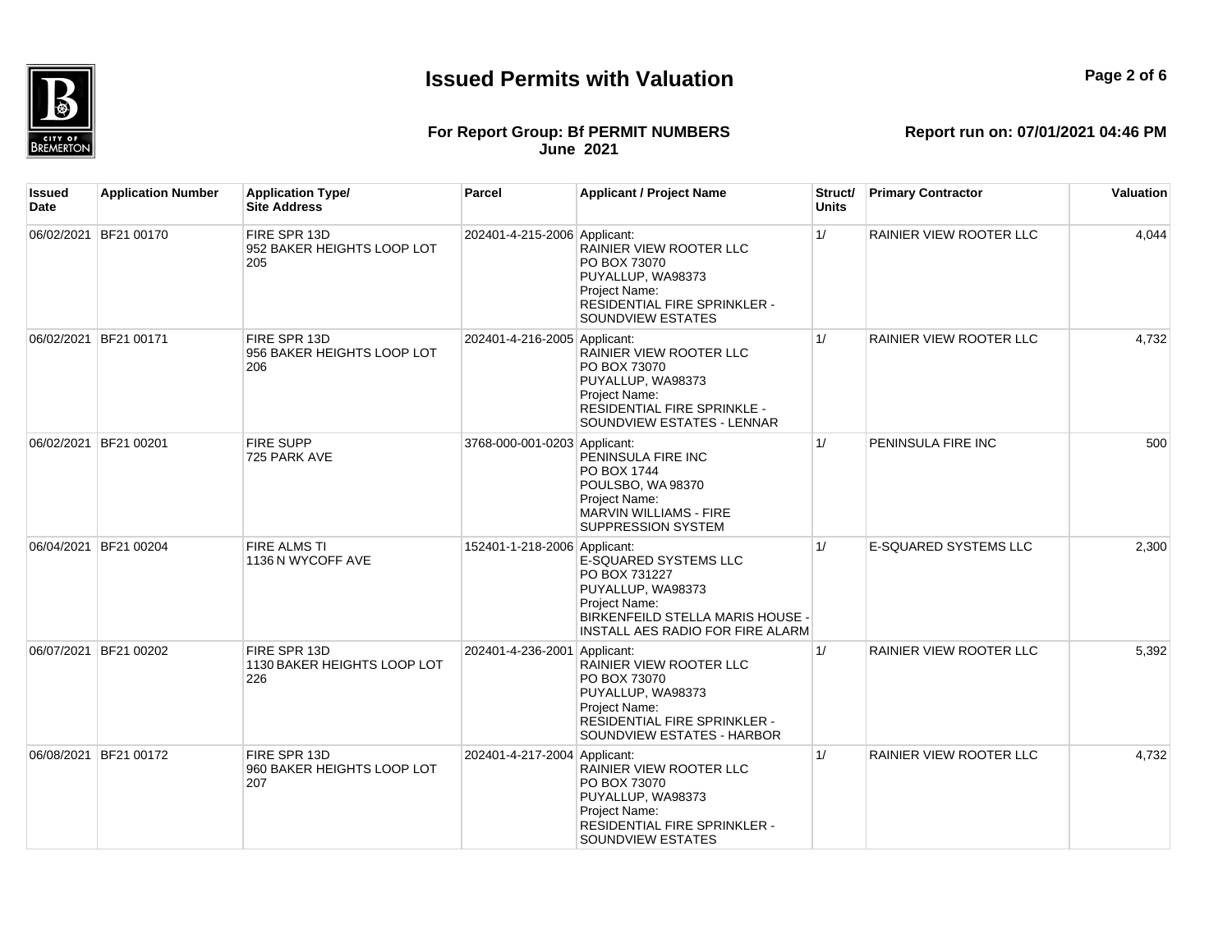

**Page 2 of 6**

#### **For Report Group: Bf PERMIT NUMBERS June 2021**

| Issued<br>Date | <b>Application Number</b> | <b>Application Type/</b><br><b>Site Address</b>    | Parcel                       | <b>Applicant / Project Name</b>                                                                                                                      | Struct/<br><b>Units</b> | <b>Primary Contractor</b>      | Valuation |
|----------------|---------------------------|----------------------------------------------------|------------------------------|------------------------------------------------------------------------------------------------------------------------------------------------------|-------------------------|--------------------------------|-----------|
|                | 06/02/2021 BF21 00170     | FIRE SPR 13D<br>952 BAKER HEIGHTS LOOP LOT<br>205  | 202401-4-215-2006 Applicant: | RAINIER VIEW ROOTER LLC<br>PO BOX 73070<br>PUYALLUP, WA98373<br>Project Name:<br>RESIDENTIAL FIRE SPRINKLER -<br>SOUNDVIEW ESTATES                   | 1/                      | RAINIER VIEW ROOTER LLC        | 4,044     |
|                | 06/02/2021 BF21 00171     | FIRE SPR 13D<br>956 BAKER HEIGHTS LOOP LOT<br>206  | 202401-4-216-2005 Applicant: | RAINIER VIEW ROOTER LLC<br>PO BOX 73070<br>PUYALLUP, WA98373<br>Project Name:<br>RESIDENTIAL FIRE SPRINKLE -<br>SOUNDVIEW ESTATES - LENNAR           | 1/                      | RAINIER VIEW ROOTER LLC        | 4,732     |
|                | 06/02/2021 BF21 00201     | <b>FIRE SUPP</b><br>725 PARK AVE                   | 3768-000-001-0203 Applicant: | PENINSULA FIRE INC<br>PO BOX 1744<br>POULSBO, WA 98370<br>Project Name:<br><b>MARVIN WILLIAMS - FIRE</b><br>SUPPRESSION SYSTEM                       | 1/                      | PENINSULA FIRE INC             | 500       |
|                | 06/04/2021 BF21 00204     | <b>FIRE ALMS TI</b><br>1136 N WYCOFF AVE           | 152401-1-218-2006 Applicant: | E-SQUARED SYSTEMS LLC<br>PO BOX 731227<br>PUYALLUP, WA98373<br>Project Name:<br>BIRKENFEILD STELLA MARIS HOUSE -<br>INSTALL AES RADIO FOR FIRE ALARM | 1/                      | E-SQUARED SYSTEMS LLC          | 2,300     |
|                | 06/07/2021 BF21 00202     | FIRE SPR 13D<br>1130 BAKER HEIGHTS LOOP LOT<br>226 | 202401-4-236-2001 Applicant: | RAINIER VIEW ROOTER LLC<br>PO BOX 73070<br>PUYALLUP, WA98373<br>Project Name:<br>RESIDENTIAL FIRE SPRINKLER -<br>SOUNDVIEW ESTATES - HARBOR          | 1/                      | <b>RAINIER VIEW ROOTER LLC</b> | 5,392     |
|                | 06/08/2021 BF21 00172     | FIRE SPR 13D<br>960 BAKER HEIGHTS LOOP LOT<br>207  | 202401-4-217-2004 Applicant: | RAINIER VIEW ROOTER LLC<br>PO BOX 73070<br>PUYALLUP, WA98373<br>Project Name:<br>RESIDENTIAL FIRE SPRINKLER -<br>SOUNDVIEW ESTATES                   | 1/                      | <b>RAINIER VIEW ROOTER LLC</b> | 4,732     |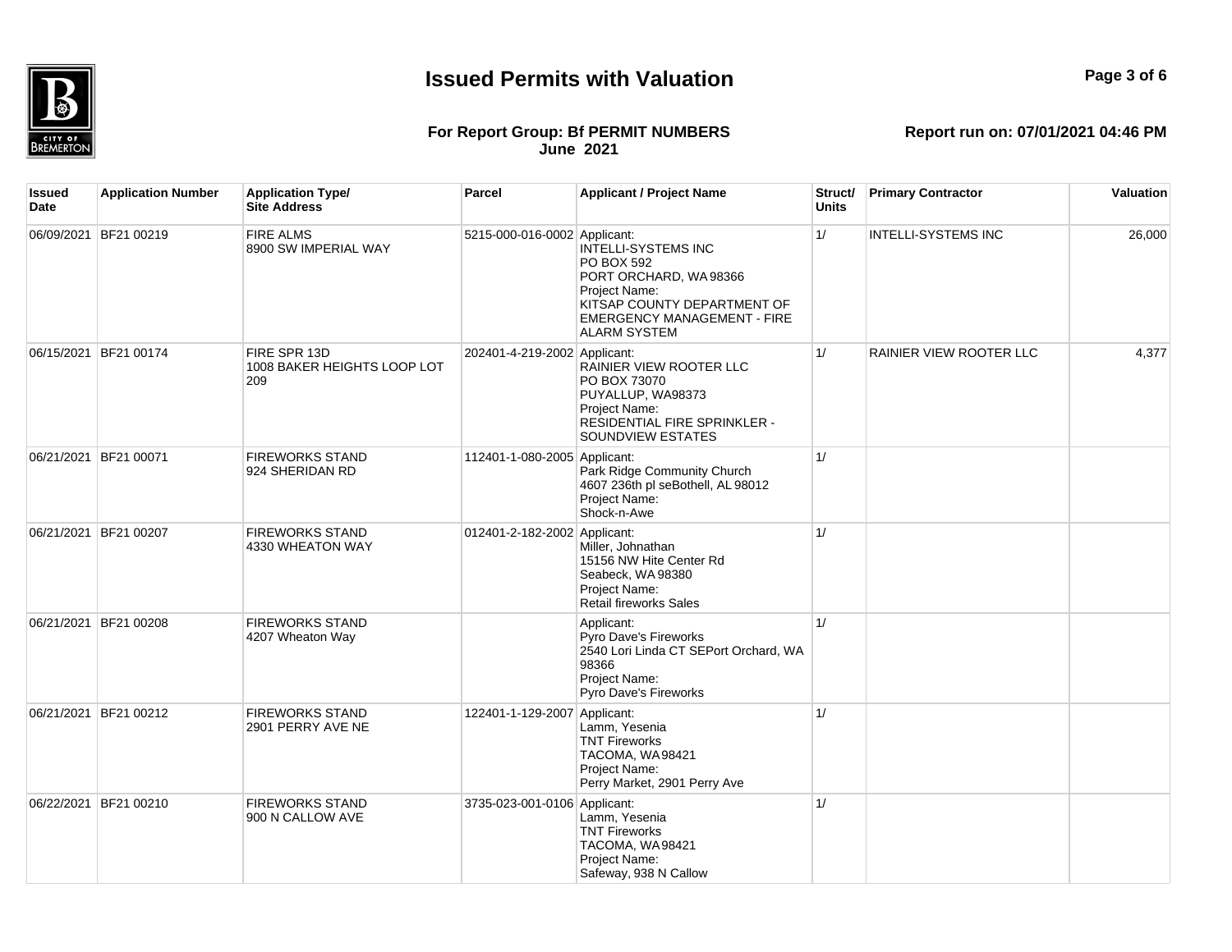

## **Page 3 of 6**

#### **For Report Group: Bf PERMIT NUMBERS June 2021**

| <b>Issued</b><br>Date | <b>Application Number</b> | <b>Application Type/</b><br><b>Site Address</b>    | Parcel                       | <b>Applicant / Project Name</b>                                                                                                                                                | Struct/<br>Units | <b>Primary Contractor</b> | Valuation |
|-----------------------|---------------------------|----------------------------------------------------|------------------------------|--------------------------------------------------------------------------------------------------------------------------------------------------------------------------------|------------------|---------------------------|-----------|
|                       | 06/09/2021 BF21 00219     | <b>FIRE ALMS</b><br>8900 SW IMPERIAL WAY           | 5215-000-016-0002 Applicant: | <b>INTELLI-SYSTEMS INC</b><br>PO BOX 592<br>PORT ORCHARD, WA98366<br>Project Name:<br>KITSAP COUNTY DEPARTMENT OF<br><b>EMERGENCY MANAGEMENT - FIRE</b><br><b>ALARM SYSTEM</b> | 1/               | INTELLI-SYSTEMS INC       | 26,000    |
|                       | 06/15/2021 BF21 00174     | FIRE SPR 13D<br>1008 BAKER HEIGHTS LOOP LOT<br>209 | 202401-4-219-2002 Applicant: | RAINIER VIEW ROOTER LLC<br>PO BOX 73070<br>PUYALLUP, WA98373<br>Project Name:<br>RESIDENTIAL FIRE SPRINKLER -<br>SOUNDVIEW ESTATES                                             | 1/               | RAINIER VIEW ROOTER LLC   | 4,377     |
|                       | 06/21/2021 BF21 00071     | <b>FIREWORKS STAND</b><br>924 SHERIDAN RD          | 112401-1-080-2005 Applicant: | Park Ridge Community Church<br>4607 236th pl seBothell, AL 98012<br>Project Name:<br>Shock-n-Awe                                                                               | 1/               |                           |           |
|                       | 06/21/2021 BF21 00207     | <b>FIREWORKS STAND</b><br>4330 WHEATON WAY         | 012401-2-182-2002 Applicant: | Miller, Johnathan<br>15156 NW Hite Center Rd<br>Seabeck, WA 98380<br>Project Name:<br>Retail fireworks Sales                                                                   | 1/               |                           |           |
|                       | 06/21/2021 BF21 00208     | <b>FIREWORKS STAND</b><br>4207 Wheaton Way         |                              | Applicant:<br>Pyro Dave's Fireworks<br>2540 Lori Linda CT SEPort Orchard, WA<br>98366<br>Project Name:<br>Pyro Dave's Fireworks                                                | 1/               |                           |           |
|                       | 06/21/2021 BF21 00212     | <b>FIREWORKS STAND</b><br>2901 PERRY AVE NE        | 122401-1-129-2007 Applicant: | Lamm, Yesenia<br><b>TNT Fireworks</b><br>TACOMA, WA98421<br>Project Name:<br>Perry Market, 2901 Perry Ave                                                                      | 1/               |                           |           |
|                       | 06/22/2021 BF21 00210     | <b>FIREWORKS STAND</b><br>900 N CALLOW AVE         | 3735-023-001-0106 Applicant: | Lamm, Yesenia<br><b>TNT Fireworks</b><br>TACOMA, WA98421<br>Project Name:<br>Safeway, 938 N Callow                                                                             | 1/               |                           |           |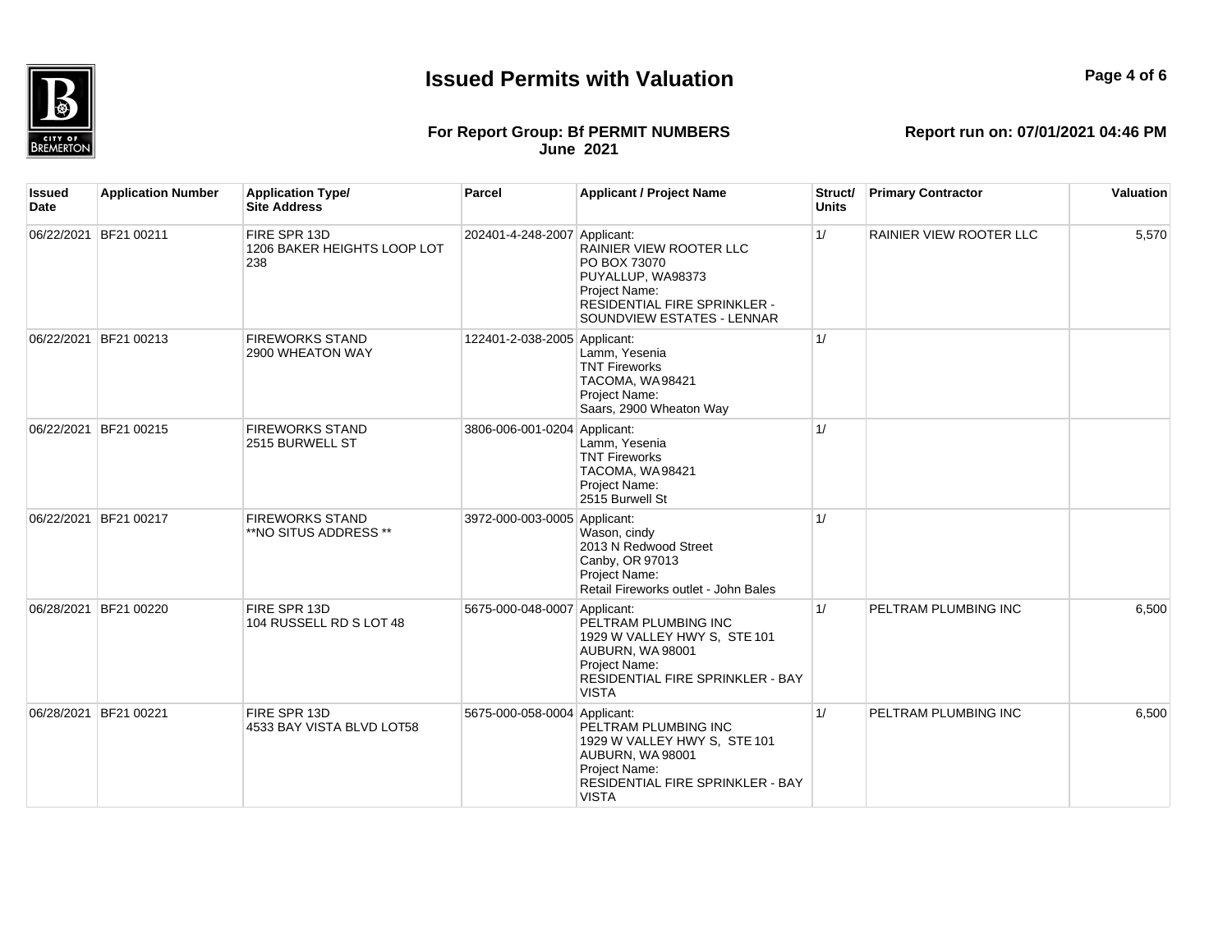# 愑 **BREMERTON**

## **Issued Permits with Valuation**

## **Page 4 of 6**

#### **For Report Group: Bf PERMIT NUMBERS June 2021**

| Issued<br><b>Date</b> | <b>Application Number</b> | <b>Application Type/</b><br><b>Site Address</b>    | Parcel                       | <b>Applicant / Project Name</b>                                                                                                                      | Struct/<br><b>Units</b> | <b>Primary Contractor</b>      | Valuation |
|-----------------------|---------------------------|----------------------------------------------------|------------------------------|------------------------------------------------------------------------------------------------------------------------------------------------------|-------------------------|--------------------------------|-----------|
|                       | 06/22/2021 BF21 00211     | FIRE SPR 13D<br>1206 BAKER HEIGHTS LOOP LOT<br>238 | 202401-4-248-2007 Applicant: | RAINIER VIEW ROOTER LLC<br>PO BOX 73070<br>PUYALLUP, WA98373<br>Project Name:<br>RESIDENTIAL FIRE SPRINKLER -<br>SOUNDVIEW ESTATES - LENNAR          | 1/                      | <b>RAINIER VIEW ROOTER LLC</b> | 5,570     |
| 06/22/2021            | BF21 00213                | <b>FIREWORKS STAND</b><br>2900 WHEATON WAY         | 122401-2-038-2005 Applicant: | Lamm, Yesenia<br><b>TNT Fireworks</b><br>TACOMA, WA98421<br>Project Name:<br>Saars, 2900 Wheaton Way                                                 | 1/                      |                                |           |
|                       | 06/22/2021 BF21 00215     | <b>FIREWORKS STAND</b><br>2515 BURWELL ST          | 3806-006-001-0204 Applicant: | Lamm, Yesenia<br><b>TNT Fireworks</b><br>TACOMA, WA98421<br>Project Name:<br>2515 Burwell St                                                         | 1/                      |                                |           |
| 06/22/2021            | BF21 00217                | <b>FIREWORKS STAND</b><br>**NO SITUS ADDRESS **    | 3972-000-003-0005 Applicant: | Wason, cindy<br>2013 N Redwood Street<br>Canby, OR 97013<br>Project Name:<br>Retail Fireworks outlet - John Bales                                    | 1/                      |                                |           |
|                       | 06/28/2021 BF21 00220     | FIRE SPR 13D<br>104 RUSSELL RD S LOT 48            | 5675-000-048-0007 Applicant: | PELTRAM PLUMBING INC<br>1929 W VALLEY HWY S, STE 101<br>AUBURN, WA 98001<br>Project Name:<br>RESIDENTIAL FIRE SPRINKLER - BAY<br><b>VISTA</b>        | 1/                      | PELTRAM PLUMBING INC           | 6.500     |
|                       | 06/28/2021 BF21 00221     | FIRE SPR 13D<br>4533 BAY VISTA BLVD LOT58          | 5675-000-058-0004 Applicant: | PELTRAM PLUMBING INC<br>1929 W VALLEY HWY S, STE 101<br>AUBURN, WA 98001<br>Project Name:<br><b>RESIDENTIAL FIRE SPRINKLER - BAY</b><br><b>VISTA</b> | 1/                      | PELTRAM PLUMBING INC           | 6,500     |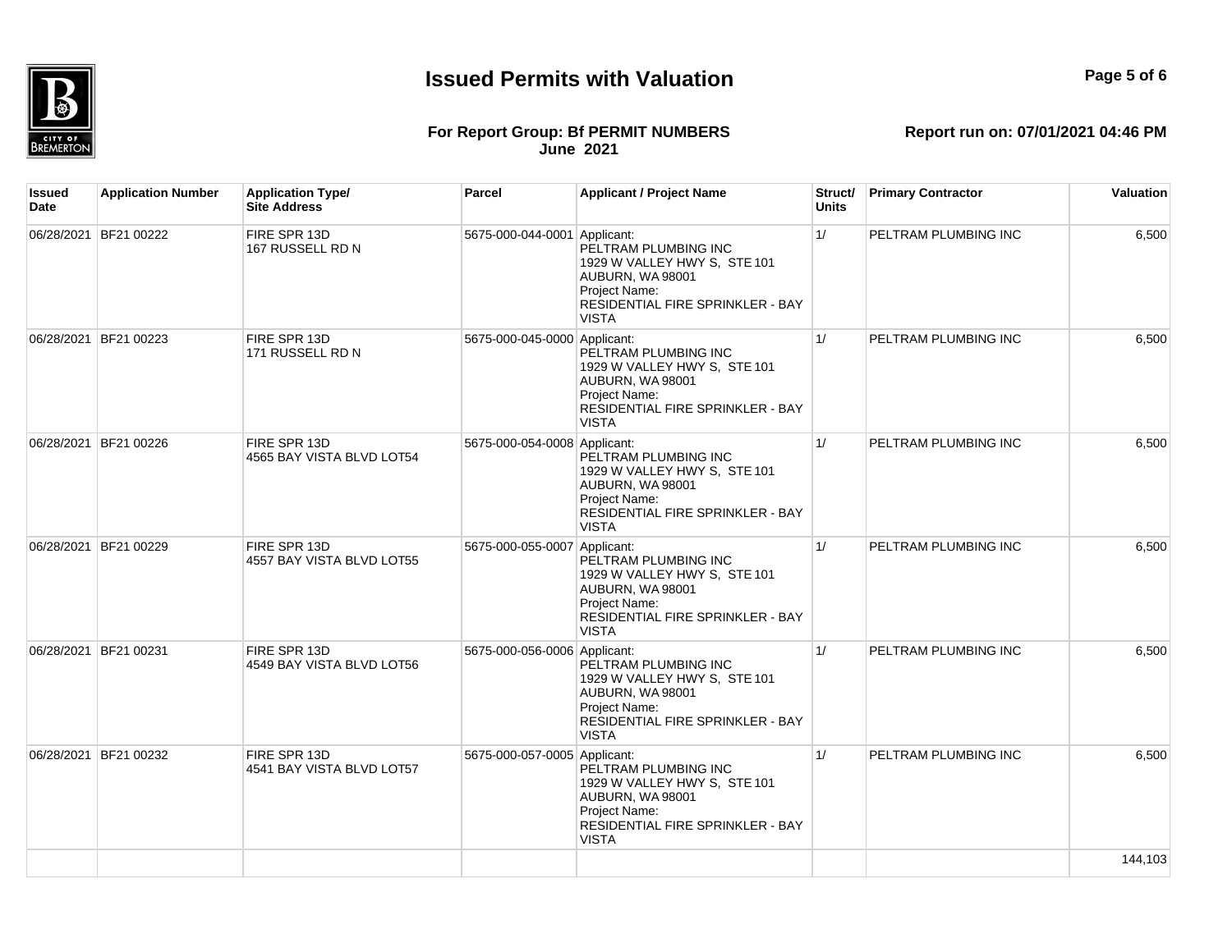

## **Page 5 of 6**

#### **For Report Group: Bf PERMIT NUMBERS June 2021**

| Issued<br>Date | <b>Application Number</b> | <b>Application Type/</b><br><b>Site Address</b> | Parcel                       | <b>Applicant / Project Name</b>                                                                                                                      | Struct/<br><b>Units</b> | <b>Primary Contractor</b> | Valuation |
|----------------|---------------------------|-------------------------------------------------|------------------------------|------------------------------------------------------------------------------------------------------------------------------------------------------|-------------------------|---------------------------|-----------|
|                | 06/28/2021 BF21 00222     | FIRE SPR 13D<br>167 RUSSELL RD N                | 5675-000-044-0001 Applicant: | PELTRAM PLUMBING INC<br>1929 W VALLEY HWY S, STE 101<br><b>AUBURN, WA 98001</b><br>Project Name:<br>RESIDENTIAL FIRE SPRINKLER - BAY<br><b>VISTA</b> | 1/                      | PELTRAM PLUMBING INC      | 6.500     |
| 06/28/2021     | BF21 00223                | FIRE SPR 13D<br>171 RUSSELL RD N                | 5675-000-045-0000 Applicant: | PELTRAM PLUMBING INC<br>1929 W VALLEY HWY S. STE 101<br>AUBURN, WA 98001<br>Project Name:<br>RESIDENTIAL FIRE SPRINKLER - BAY<br><b>VISTA</b>        | 1/                      | PELTRAM PLUMBING INC      | 6,500     |
|                | 06/28/2021 BF21 00226     | FIRE SPR 13D<br>4565 BAY VISTA BLVD LOT54       | 5675-000-054-0008 Applicant: | PELTRAM PLUMBING INC<br>1929 W VALLEY HWY S, STE 101<br>AUBURN, WA 98001<br>Project Name:<br>RESIDENTIAL FIRE SPRINKLER - BAY<br><b>VISTA</b>        | 1/                      | PELTRAM PLUMBING INC      | 6,500     |
|                | 06/28/2021 BF21 00229     | FIRE SPR 13D<br>4557 BAY VISTA BLVD LOT55       | 5675-000-055-0007 Applicant: | PELTRAM PLUMBING INC<br>1929 W VALLEY HWY S. STE 101<br>AUBURN, WA 98001<br>Project Name:<br>RESIDENTIAL FIRE SPRINKLER - BAY<br><b>VISTA</b>        | 1/                      | PELTRAM PLUMBING INC      | 6,500     |
|                | 06/28/2021 BF21 00231     | FIRE SPR 13D<br>4549 BAY VISTA BLVD LOT56       | 5675-000-056-0006 Applicant: | PELTRAM PLUMBING INC<br>1929 W VALLEY HWY S, STE 101<br><b>AUBURN, WA 98001</b><br>Project Name:<br>RESIDENTIAL FIRE SPRINKLER - BAY<br><b>VISTA</b> | 1/                      | PELTRAM PLUMBING INC      | 6,500     |
| 06/28/2021     | BF21 00232                | FIRE SPR 13D<br>4541 BAY VISTA BLVD LOT57       | 5675-000-057-0005 Applicant: | PELTRAM PLUMBING INC<br>1929 W VALLEY HWY S, STE 101<br>AUBURN, WA 98001<br>Project Name:<br>RESIDENTIAL FIRE SPRINKLER - BAY<br><b>VISTA</b>        | 1/                      | PELTRAM PLUMBING INC      | 6,500     |
|                |                           |                                                 |                              |                                                                                                                                                      |                         |                           | 144,103   |